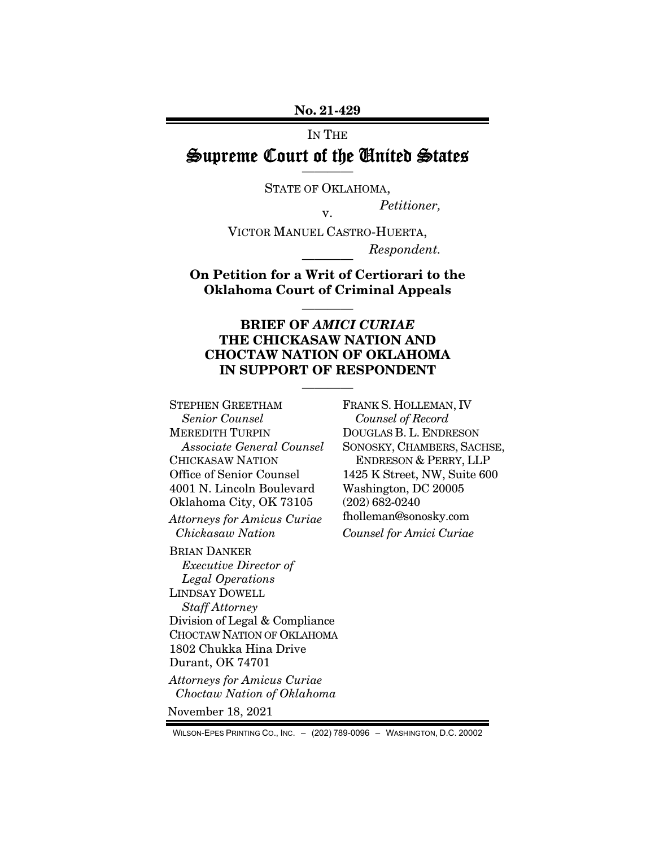No. 21-429

#### IN THE

#### Supreme Court of the United States ————

STATE OF OKLAHOMA,

*Petitioner,* v.

VICTOR MANUEL CASTRO-HUERTA,  $Respondent.$ 

On Petition for a Writ of Certiorari to the Oklahoma Court of Criminal Appeals

————

#### BRIEF OF *AMICI CURIAE*  THE CHICKASAW NATION AND CHOCTAW NATION OF OKLAHOMA IN SUPPORT OF RESPONDENT

————

STEPHEN GREETHAM *Senior Counsel*  MEREDITH TURPIN *Associate General Counsel*  CHICKASAW NATION Office of Senior Counsel 4001 N. Lincoln Boulevard Oklahoma City, OK 73105 *Attorneys for Amicus Curiae Chickasaw Nation* 

BRIAN DANKER *Executive Director of Legal Operations*  LINDSAY DOWELL *Staff Attorney*  Division of Legal & Compliance CHOCTAW NATION OF OKLAHOMA 1802 Chukka Hina Drive Durant, OK 74701

*Attorneys for Amicus Curiae Choctaw Nation of Oklahoma*

November 18, 2021

FRANK S. HOLLEMAN, IV *Counsel of Record*  DOUGLAS B. L. ENDRESON SONOSKY, CHAMBERS, SACHSE, ENDRESON & PERRY, LLP 1425 K Street, NW, Suite 600 Washington, DC 20005 (202) 682-0240 fholleman@sonosky.com *Counsel for Amici Curiae* 

WILSON-EPES PRINTING CO., INC. – (202) 789-0096 – WASHINGTON, D.C. 20002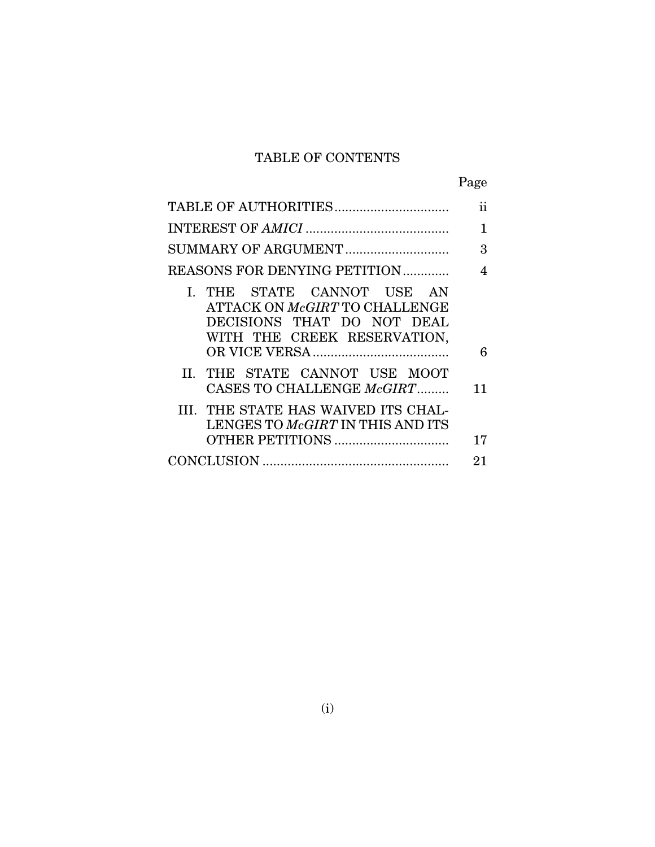### TABLE OF CONTENTS

| ۰, |
|----|
|----|

|                                                                                                                          | 11 |
|--------------------------------------------------------------------------------------------------------------------------|----|
|                                                                                                                          | 1  |
|                                                                                                                          | 3  |
| REASONS FOR DENYING PETITION                                                                                             | 4  |
| I. THE STATE CANNOT USE AN<br>ATTACK ON McGIRT TO CHALLENGE<br>DECISIONS THAT DO NOT DEAL<br>WITH THE CREEK RESERVATION, | 6  |
| II. THE STATE CANNOT USE MOOT<br>CASES TO CHALLENGE McGIRT                                                               | 11 |
| III. THE STATE HAS WAIVED ITS CHAL-<br>LENGES TO McGIRT IN THIS AND ITS                                                  | 17 |
|                                                                                                                          | 21 |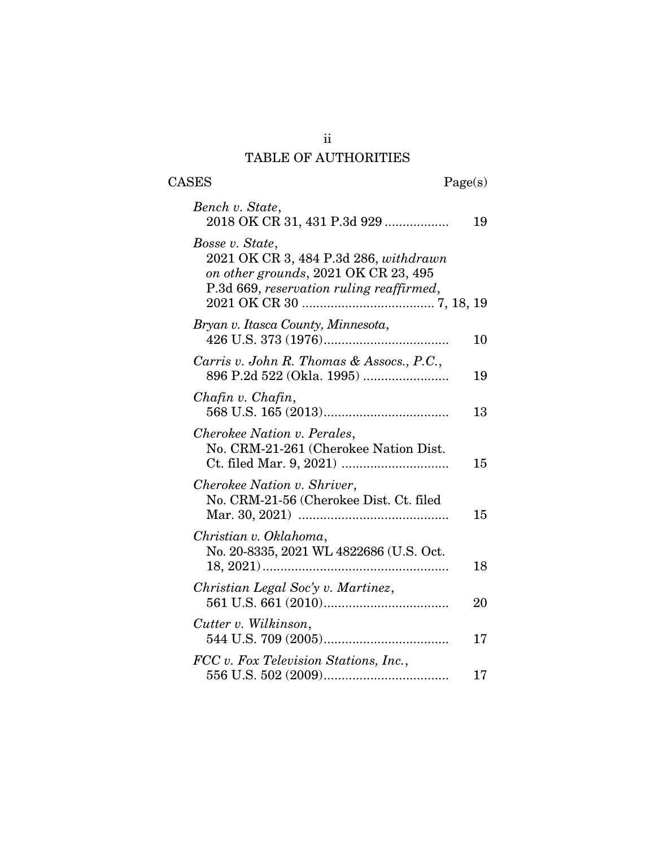### ii TABLE OF AUTHORITIES

| $\rm{CASES}$ |  |  |
|--------------|--|--|
|              |  |  |

 $\text{Page}(s)$ 

| Bench v. State,<br>2018 OK CR 31, 431 P.3d 929                                                                                               | 19 |
|----------------------------------------------------------------------------------------------------------------------------------------------|----|
| Bosse v. State,<br>2021 OK CR 3, 484 P.3d 286, withdrawn<br>on other grounds, 2021 OK CR 23, 495<br>P.3d 669, reservation ruling reaffirmed, |    |
| Bryan v. Itasca County, Minnesota,                                                                                                           | 10 |
| Carris v. John R. Thomas & Assocs., P.C.,                                                                                                    | 19 |
| Chafin v. Chafin,                                                                                                                            | 13 |
| Cherokee Nation v. Perales,<br>No. CRM-21-261 (Cherokee Nation Dist.                                                                         | 15 |
| Cherokee Nation v. Shriver,<br>No. CRM-21-56 (Cherokee Dist. Ct. filed                                                                       | 15 |
| Christian v. Oklahoma,<br>No. 20-8335, 2021 WL 4822686 (U.S. Oct.<br>$18, 2021)$                                                             | 18 |
| Christian Legal Soc'y v. Martinez,                                                                                                           | 20 |
| Cutter v. Wilkinson,                                                                                                                         | 17 |
| FCC v. Fox Television Stations, Inc.,                                                                                                        | 17 |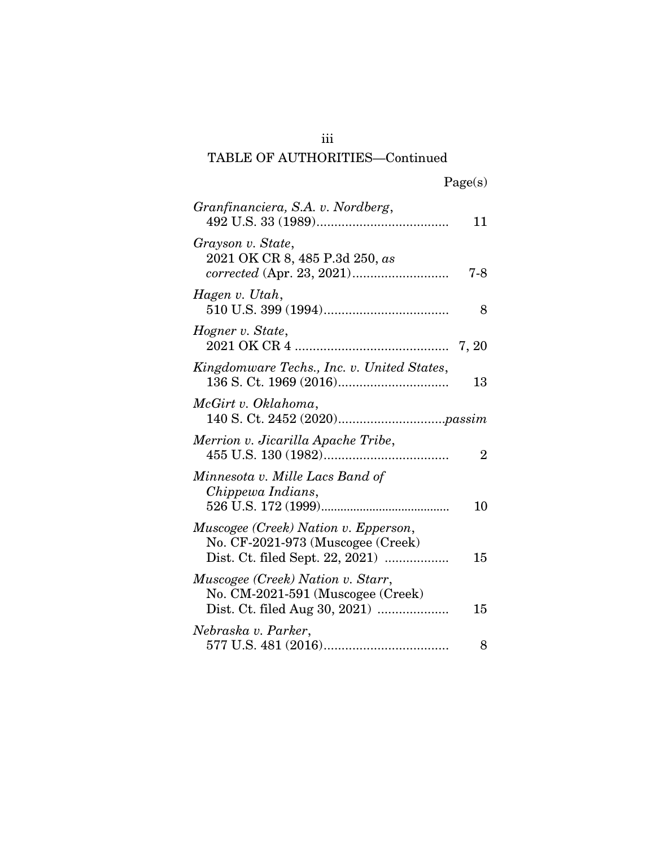### iii TABLE OF AUTHORITIES—Continued

| Granfinanciera, S.A. v. Nordberg,                                             | 11             |
|-------------------------------------------------------------------------------|----------------|
| Grayson v. State,<br>2021 OK CR 8, 485 P.3d 250, as                           | 7-8            |
| Hagen v. Utah,                                                                | 8              |
| Hogner v. State,                                                              |                |
| Kingdomware Techs., Inc. v. United States,                                    | 13             |
| McGirt v. Oklahoma,                                                           |                |
| Merrion v. Jicarilla Apache Tribe,                                            | $\overline{2}$ |
| Minnesota v. Mille Lacs Band of<br>Chippewa Indians,                          | 10             |
| Muscogee (Creek) Nation v. Epperson,<br>No. CF-2021-973 (Muscogee (Creek)     | 15             |
| <i>Muscogee (Creek) Nation v. Starr,</i><br>No. CM-2021-591 (Muscogee (Creek) | 15             |
| Nebraska v. Parker,                                                           | 8              |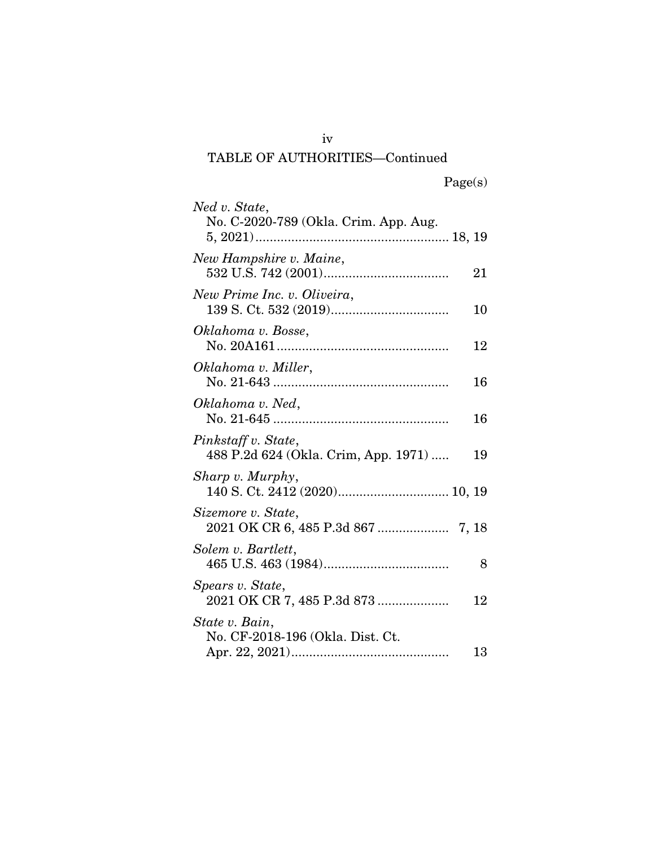### iv TABLE OF AUTHORITIES—Continued

| Ned v. State,<br>No. C-2020-789 (Okla. Crim. App. Aug.      |    |
|-------------------------------------------------------------|----|
|                                                             |    |
| New Hampshire v. Maine,                                     | 21 |
| New Prime Inc. v. Oliveira,                                 | 10 |
| Oklahoma v. Bosse,                                          | 12 |
| Oklahoma v. Miller,                                         | 16 |
| Oklahoma v. Ned,                                            | 16 |
| Pinkstaff v. State,<br>488 P.2d 624 (Okla. Crim, App. 1971) | 19 |
| Sharp v. Murphy,                                            |    |
| Sizemore v. State,                                          |    |
| Solem v. Bartlett,                                          | 8  |
| Spears v. State,<br>2021 OK CR 7, 485 P.3d 873              | 12 |
| State v. Bain,                                              |    |
| No. CF-2018-196 (Okla. Dist. Ct.                            | 13 |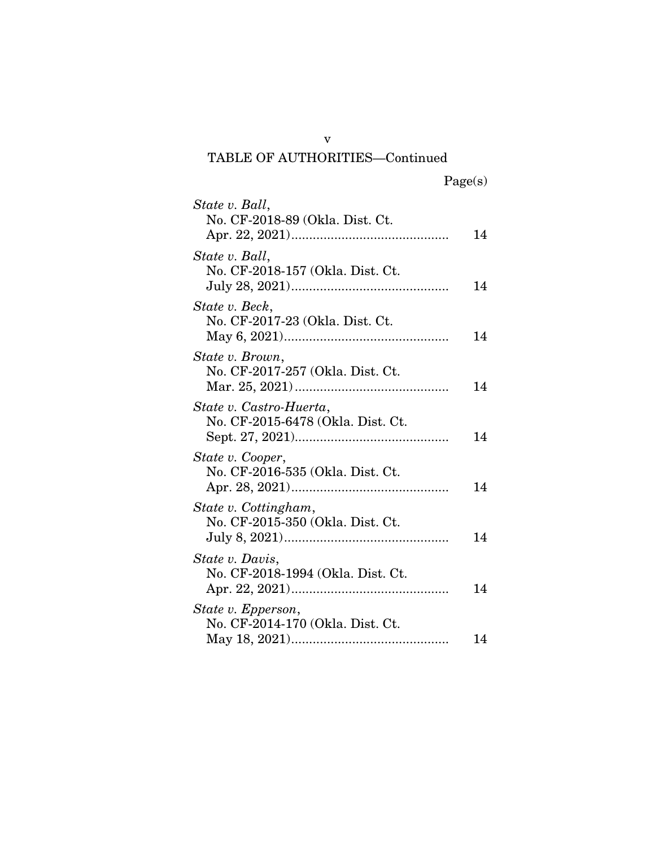#### v TABLE OF AUTHORITIES—Continued

| State v. Ball,<br>No. CF-2018-89 (Okla. Dist. Ct.            |    |
|--------------------------------------------------------------|----|
|                                                              | 14 |
| State v. Ball,<br>No. CF-2018-157 (Okla. Dist. Ct.           | 14 |
| State v. Beck,<br>No. CF-2017-23 (Okla. Dist. Ct.            | 14 |
| State v. Brown,<br>No. CF-2017-257 (Okla. Dist. Ct.          | 14 |
| State v. Castro-Huerta,<br>No. CF-2015-6478 (Okla. Dist. Ct. | 14 |
| State v. Cooper,<br>No. CF-2016-535 (Okla. Dist. Ct.         | 14 |
| State v. Cottingham,<br>No. CF-2015-350 (Okla. Dist. Ct.     | 14 |
| State v. Davis,<br>No. CF-2018-1994 (Okla. Dist. Ct.         | 14 |
| State v. Epperson,<br>No. CF-2014-170 (Okla. Dist. Ct.       | 14 |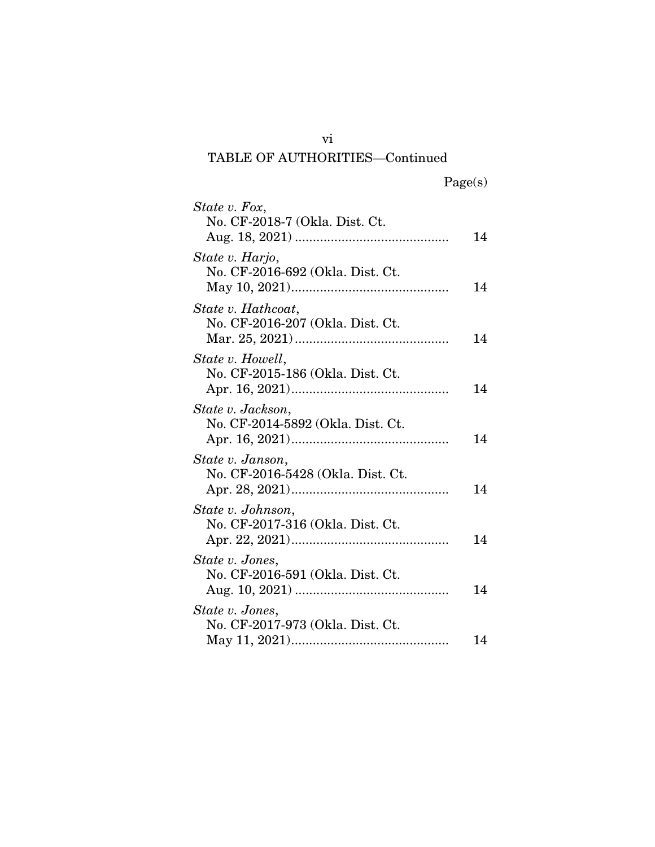### vi TABLE OF AUTHORITIES—Continued

| State v. Fox,                                          |    |
|--------------------------------------------------------|----|
| No. CF-2018-7 (Okla. Dist. Ct.                         | 14 |
| State v. Harjo,<br>No. CF-2016-692 (Okla. Dist. Ct.    | 14 |
| State v. Hathcoat,<br>No. CF-2016-207 (Okla. Dist. Ct. | 14 |
| State v. Howell,<br>No. CF-2015-186 (Okla. Dist. Ct.   | 14 |
| State v. Jackson,<br>No. CF-2014-5892 (Okla. Dist. Ct. | 14 |
| State v. Janson,<br>No. CF-2016-5428 (Okla. Dist. Ct.  | 14 |
| State v. Johnson,<br>No. CF-2017-316 (Okla. Dist. Ct.  | 14 |
| State v. Jones,<br>No. CF-2016-591 (Okla. Dist. Ct.    | 14 |
| State v. Jones,<br>No. CF-2017-973 (Okla. Dist. Ct.    | 14 |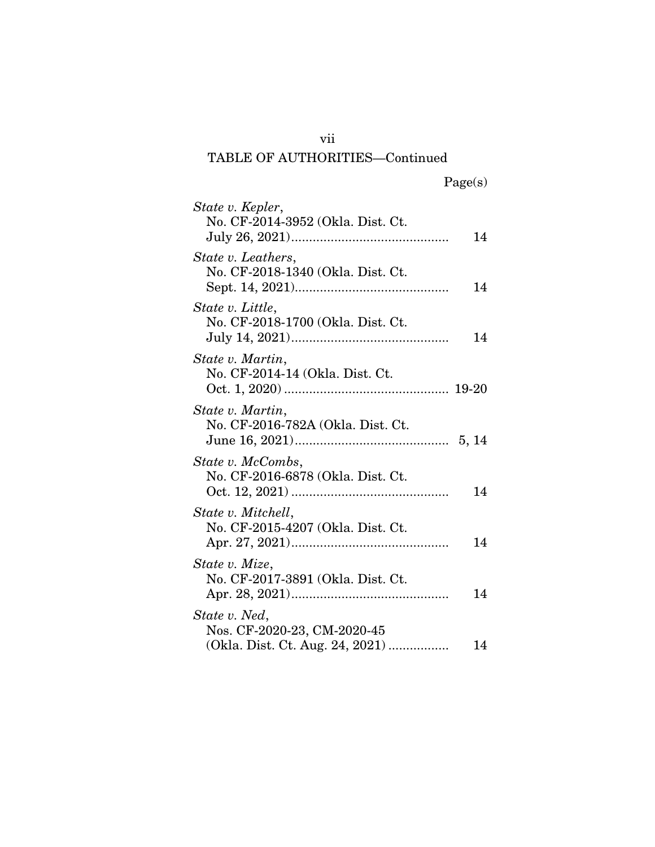### vii TABLE OF AUTHORITIES—Continued

| State v. Kepler,                                                                |    |
|---------------------------------------------------------------------------------|----|
| No. CF-2014-3952 (Okla. Dist. Ct.                                               | 14 |
| State v. Leathers,<br>No. CF-2018-1340 (Okla. Dist. Ct.                         | 14 |
| State v. Little,<br>No. CF-2018-1700 (Okla. Dist. Ct.                           | 14 |
| State v. Martin,<br>No. CF-2014-14 (Okla. Dist. Ct.                             |    |
| State v. Martin,<br>No. CF-2016-782A (Okla. Dist. Ct.                           |    |
| State v. McCombs,<br>No. CF-2016-6878 (Okla. Dist. Ct.                          | 14 |
| State v. Mitchell,<br>No. CF-2015-4207 (Okla. Dist. Ct.                         | 14 |
| State v. Mize,<br>No. CF-2017-3891 (Okla. Dist. Ct.                             | 14 |
| State v. Ned,<br>Nos. CF-2020-23, CM-2020-45<br>(Okla. Dist. Ct. Aug. 24, 2021) | 14 |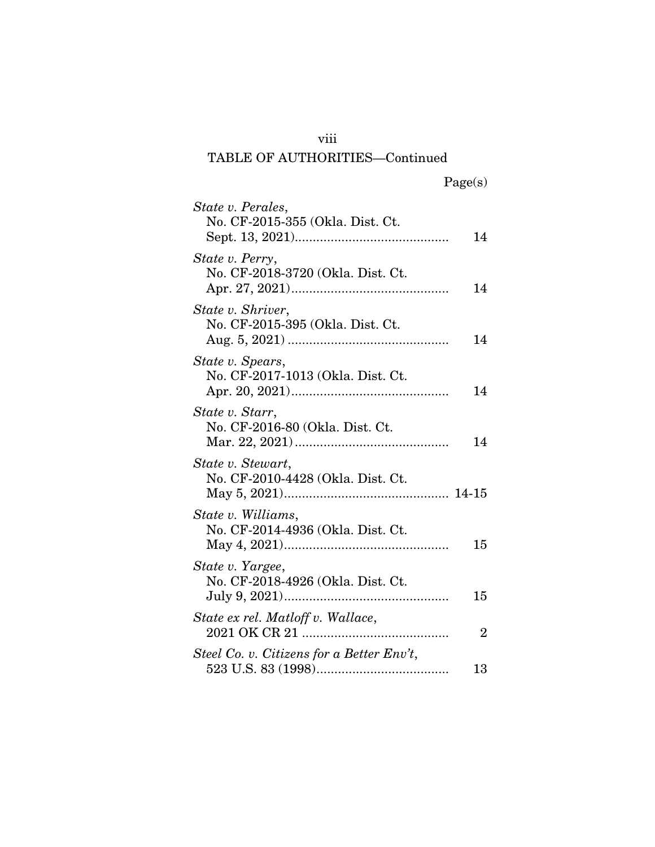### viii

# TABLE OF AUTHORITIES—Continued

| State v. Perales,                                       |                |
|---------------------------------------------------------|----------------|
| No. CF-2015-355 (Okla. Dist. Ct.                        | 14             |
| State v. Perry,<br>No. CF-2018-3720 (Okla. Dist. Ct.    | 14             |
| State v. Shriver,<br>No. CF-2015-395 (Okla. Dist. Ct.   | 14             |
| State v. Spears,<br>No. CF-2017-1013 (Okla. Dist. Ct.   | 14             |
| State v. Starr,<br>No. CF-2016-80 (Okla. Dist. Ct.      | 14             |
| State v. Stewart,<br>No. CF-2010-4428 (Okla. Dist. Ct.  |                |
| State v. Williams,<br>No. CF-2014-4936 (Okla. Dist. Ct. | 15             |
| State v. Yargee,<br>No. CF-2018-4926 (Okla. Dist. Ct.   | 15             |
| State ex rel. Matloff v. Wallace,                       | $\overline{2}$ |
| Steel Co. v. Citizens for a Better Env't,               | 13             |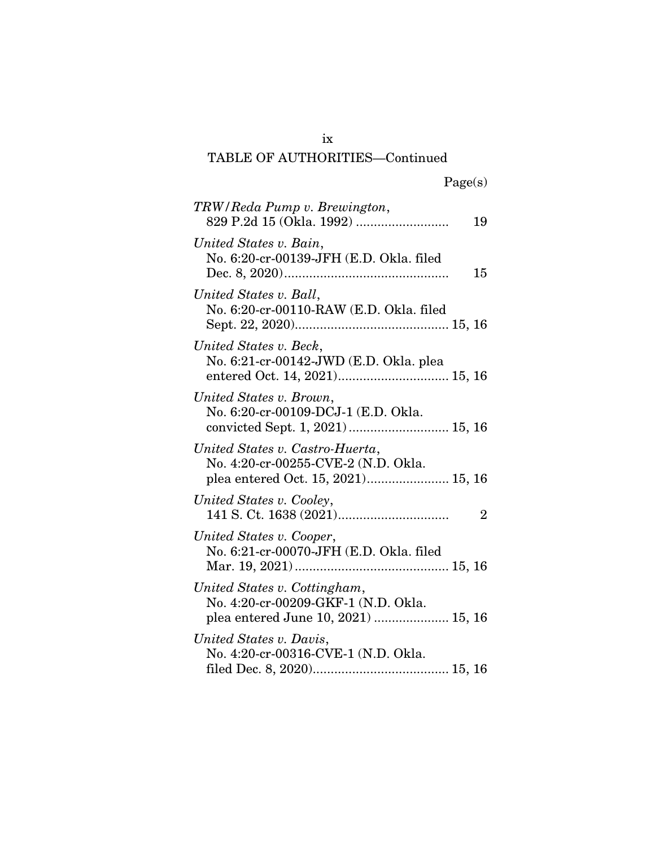# ix

# TABLE OF AUTHORITIES—Continued

| TRW/Reda Pump v. Brewington,                                           | 19             |
|------------------------------------------------------------------------|----------------|
| United States v. Bain,<br>No. 6:20-cr-00139-JFH (E.D. Okla. filed      | 15             |
| United States v. Ball,<br>No. 6:20-cr-00110-RAW (E.D. Okla. filed      |                |
| United States v. Beck,<br>No. 6:21-cr-00142-JWD (E.D. Okla. plea       |                |
| United States v. Brown,<br>No. 6:20-cr-00109-DCJ-1 (E.D. Okla.         |                |
| United States v. Castro-Huerta,<br>No. 4:20-cr-00255-CVE-2 (N.D. Okla. |                |
| United States v. Cooley,                                               | $\overline{2}$ |
| United States v. Cooper,<br>No. 6:21-cr-00070-JFH (E.D. Okla. filed    |                |
| United States v. Cottingham,<br>No. 4:20-cr-00209-GKF-1 (N.D. Okla.    |                |
| United States v. Davis,<br>No. 4:20-cr-00316-CVE-1 (N.D. Okla.         |                |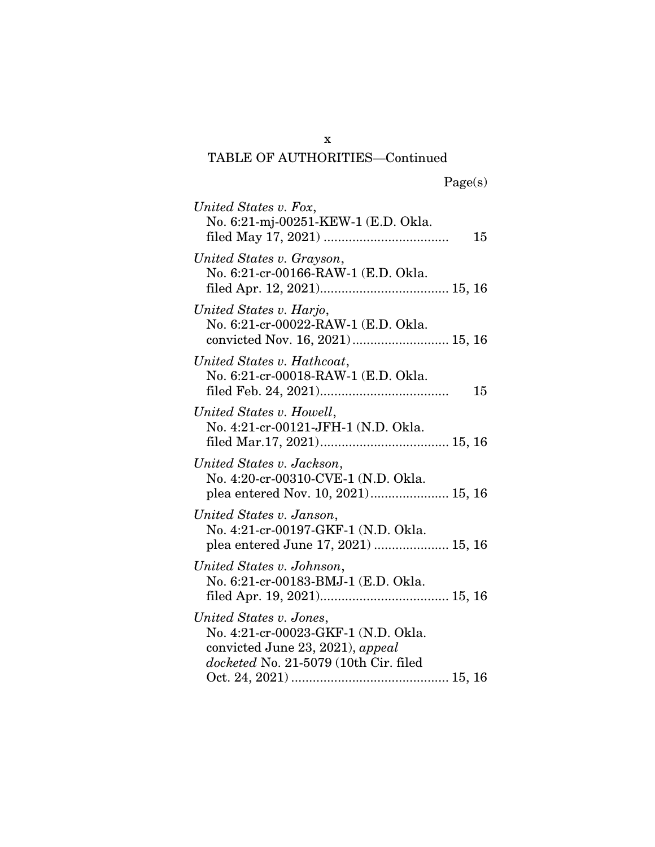TABLE OF AUTHORITIES—Continued

| United States v. Fox,<br>No. 6:21-mj-00251-KEW-1 (E.D. Okla.                                                                                | 15 |
|---------------------------------------------------------------------------------------------------------------------------------------------|----|
| United States v. Grayson,<br>No. 6:21-cr-00166-RAW-1 (E.D. Okla.                                                                            |    |
| United States v. Harjo,<br>No. 6:21-cr-00022-RAW-1 (E.D. Okla.                                                                              |    |
| United States v. Hathcoat,<br>No. 6:21-cr-00018-RAW-1 (E.D. Okla.                                                                           | 15 |
| United States v. Howell,<br>No. 4:21-cr-00121-JFH-1 (N.D. Okla.                                                                             |    |
| United States v. Jackson,<br>No. 4:20-cr-00310-CVE-1 (N.D. Okla.                                                                            |    |
| United States v. Janson,<br>No. 4:21-cr-00197-GKF-1 (N.D. Okla.                                                                             |    |
| United States v. Johnson,<br>No. 6:21-cr-00183-BMJ-1 (E.D. Okla.                                                                            |    |
| United States v. Jones,<br>No. 4:21-cr-00023-GKF-1 (N.D. Okla.<br>convicted June 23, 2021), appeal<br>docketed No. 21-5079 (10th Cir. filed |    |

x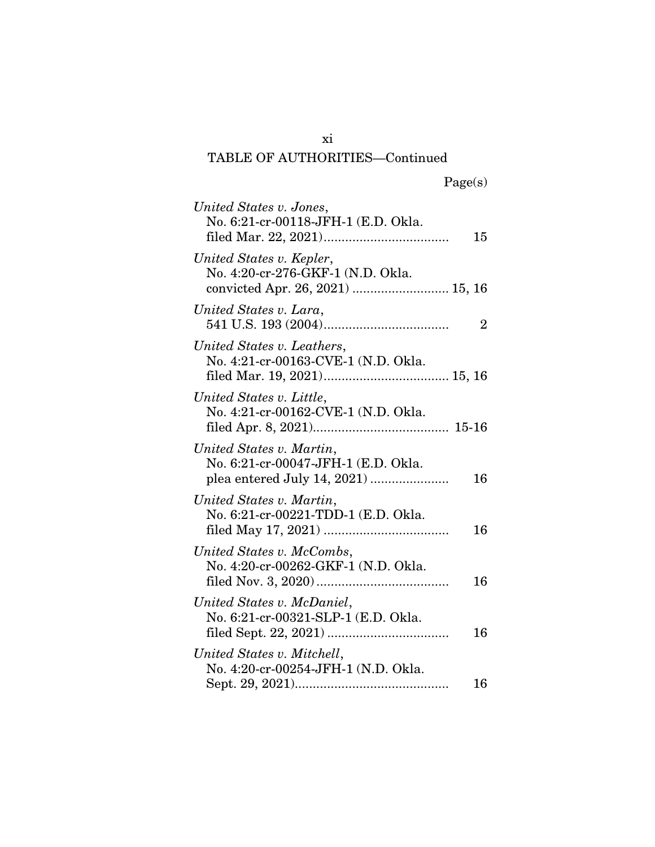# TABLE OF AUTHORITIES—Continued

| United States v. Jones,<br>No. 6:21-cr-00118-JFH-1 (E.D. Okla.                                    | 15             |
|---------------------------------------------------------------------------------------------------|----------------|
| United States v. Kepler,<br>No. 4:20-cr-276-GKF-1 (N.D. Okla.<br>convicted Apr. 26, 2021)  15, 16 |                |
| United States v. Lara,                                                                            | $\overline{2}$ |
| United States v. Leathers,<br>No. 4:21-cr-00163-CVE-1 (N.D. Okla.                                 |                |
| United States v. Little,<br>No. 4:21-cr-00162-CVE-1 (N.D. Okla.                                   |                |
| United States v. Martin,<br>No. 6:21-cr-00047-JFH-1 (E.D. Okla.                                   | 16             |
| United States v. Martin,<br>No. 6:21-cr-00221-TDD-1 (E.D. Okla.                                   | 16             |
| United States v. McCombs,<br>No. 4:20-cr-00262-GKF-1 (N.D. Okla.                                  | 16             |
| United States v. McDaniel,<br>No. 6:21-cr-00321-SLP-1 (E.D. Okla.                                 | 16             |
| United States v. Mitchell,<br>No. 4:20-cr-00254-JFH-1 (N.D. Okla.                                 | 16             |

xi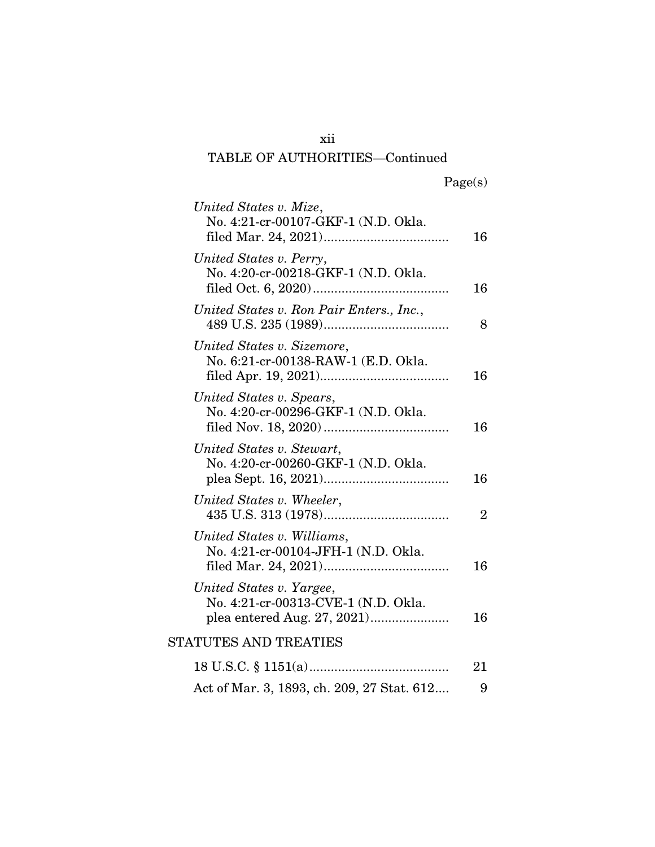### xii TABLE OF AUTHORITIES—Continued

| United States v. Mize,<br>No. 4:21-cr-00107-GKF-1 (N.D. Okla.     | 16             |
|-------------------------------------------------------------------|----------------|
| United States v. Perry,<br>No. 4:20-cr-00218-GKF-1 (N.D. Okla.    | 16             |
| United States v. Ron Pair Enters., Inc.,                          | 8              |
| United States v. Sizemore,<br>No. 6:21-cr-00138-RAW-1 (E.D. Okla. | 16             |
| United States v. Spears,<br>No. 4:20-cr-00296-GKF-1 (N.D. Okla.   | 16             |
| United States v. Stewart,<br>No. 4:20-cr-00260-GKF-1 (N.D. Okla.  | 16             |
| United States v. Wheeler,                                         | $\overline{2}$ |
| United States v. Williams,<br>No. 4:21-cr-00104-JFH-1 (N.D. Okla. | 16             |
| United States v. Yargee,<br>No. 4:21-cr-00313-CVE-1 (N.D. Okla.   | 16             |
| <b>STATUTES AND TREATIES</b>                                      |                |
|                                                                   | 21             |
| Act of Mar. 3, 1893, ch. 209, 27 Stat. 612                        | 9              |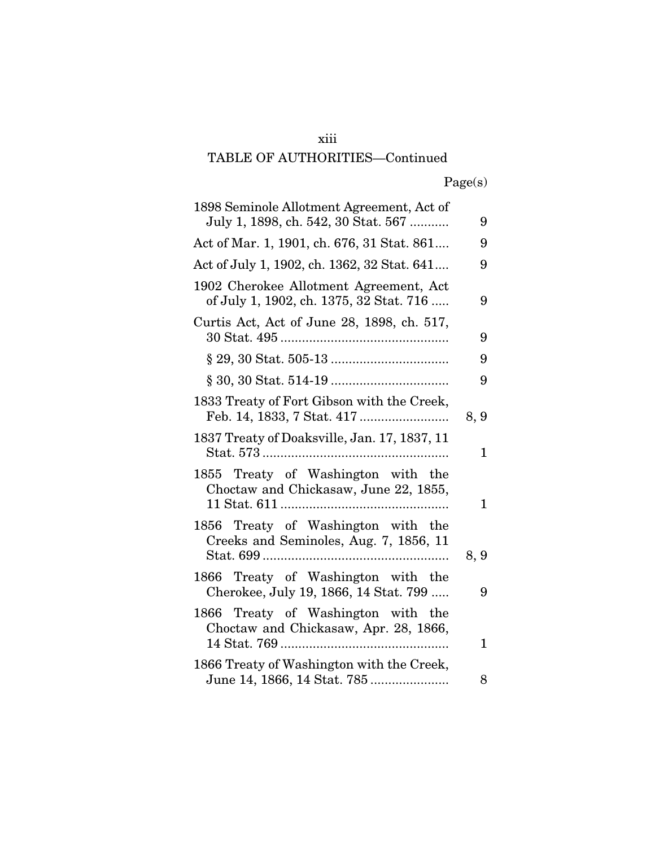#### xiii

# TABLE OF AUTHORITIES—Continued

|  | Page(s) |
|--|---------|
|  |         |

| 1898 Seminole Allotment Agreement, Act of<br>July 1, 1898, ch. 542, 30 Stat. 567  | 9    |
|-----------------------------------------------------------------------------------|------|
| Act of Mar. 1, 1901, ch. 676, 31 Stat. 861                                        | 9    |
| Act of July 1, 1902, ch. 1362, 32 Stat. 641                                       | 9    |
| 1902 Cherokee Allotment Agreement, Act<br>of July 1, 1902, ch. 1375, 32 Stat. 716 | 9    |
| Curtis Act, Act of June 28, 1898, ch. 517,                                        | 9    |
|                                                                                   | 9    |
|                                                                                   | 9    |
| 1833 Treaty of Fort Gibson with the Creek,                                        | 8, 9 |
| 1837 Treaty of Doaksville, Jan. 17, 1837, 11                                      | 1    |
| 1855 Treaty of Washington with the<br>Choctaw and Chickasaw, June 22, 1855,       | 1    |
| 1856 Treaty of Washington with the<br>Creeks and Seminoles, Aug. 7, 1856, 11      | 8, 9 |
| 1866 Treaty of Washington with the<br>Cherokee, July 19, 1866, 14 Stat. 799       | 9    |
| 1866 Treaty of Washington with the<br>Choctaw and Chickasaw, Apr. 28, 1866,       | 1    |
| 1866 Treaty of Washington with the Creek,                                         | 8    |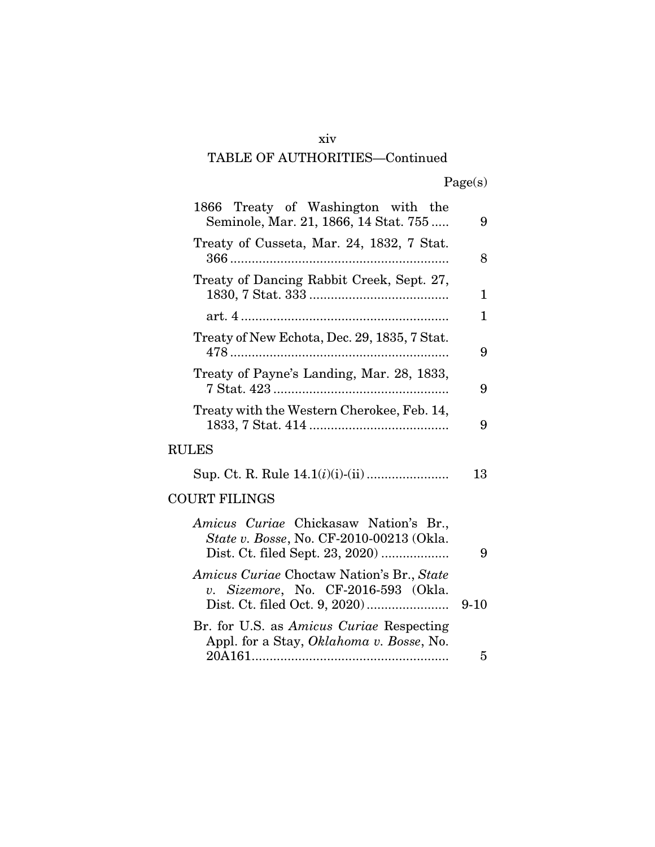#### xiv

### TABLE OF AUTHORITIES—Continued

|  | Page(s) |
|--|---------|
|  |         |

| 1866 Treaty of Washington with the<br>Seminole, Mar. 21, 1866, 14 Stat. 755                 | 9        |
|---------------------------------------------------------------------------------------------|----------|
| Treaty of Cusseta, Mar. 24, 1832, 7 Stat.                                                   | 8        |
| Treaty of Dancing Rabbit Creek, Sept. 27,                                                   | 1        |
|                                                                                             | 1        |
| Treaty of New Echota, Dec. 29, 1835, 7 Stat.                                                | 9        |
| Treaty of Payne's Landing, Mar. 28, 1833,                                                   | 9        |
| Treaty with the Western Cherokee, Feb. 14,                                                  | 9        |
| <b>RULES</b>                                                                                |          |
|                                                                                             | 13       |
| <b>COURT FILINGS</b>                                                                        |          |
| Amicus Curiae Chickasaw Nation's Br.,<br>State v. Bosse, No. CF-2010-00213 (Okla.           | 9        |
| Amicus Curiae Choctaw Nation's Br., State<br>v. Sizemore, No. CF-2016-593 (Okla.            | $9 - 10$ |
| Br. for U.S. as <i>Amicus Curiae</i> Respecting<br>Appl. for a Stay, Oklahoma v. Bosse, No. |          |
|                                                                                             | 5        |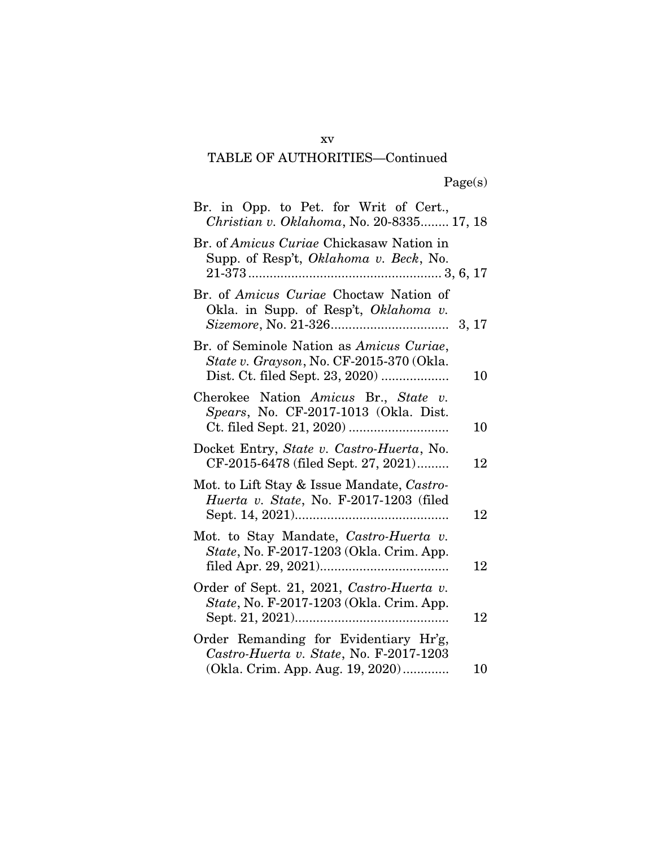### TABLE OF AUTHORITIES—Continued

| Br. in Opp. to Pet. for Writ of Cert.,<br>Christian v. Oklahoma, No. 20-8335 17, 18                                        |
|----------------------------------------------------------------------------------------------------------------------------|
| Br. of Amicus Curiae Chickasaw Nation in<br>Supp. of Resp't, <i>Oklahoma v. Beck</i> , No.                                 |
| Br. of Amicus Curiae Choctaw Nation of<br>Okla. in Supp. of Resp't, Oklahoma v.                                            |
| Br. of Seminole Nation as Amicus Curiae,<br>State v. Grayson, No. CF-2015-370 (Okla.<br>10                                 |
| Cherokee Nation Amicus Br., State v.<br>Spears, No. CF-2017-1013 (Okla. Dist.<br>10                                        |
| Docket Entry, State v. Castro-Huerta, No.<br>CF-2015-6478 (filed Sept. 27, 2021)<br>12                                     |
| Mot. to Lift Stay & Issue Mandate, Castro-<br>Huerta v. State, No. F-2017-1203 (filed<br>12                                |
| Mot. to Stay Mandate, Castro-Huerta v.<br>State, No. F-2017-1203 (Okla. Crim. App.<br>12                                   |
| Order of Sept. 21, 2021, Castro-Huerta v.<br>State, No. F-2017-1203 (Okla. Crim. App.<br>12                                |
| Order Remanding for Evidentiary Hr'g,<br>Castro-Huerta v. State, No. F-2017-1203<br>(Okla. Crim. App. Aug. 19, 2020)<br>10 |

xv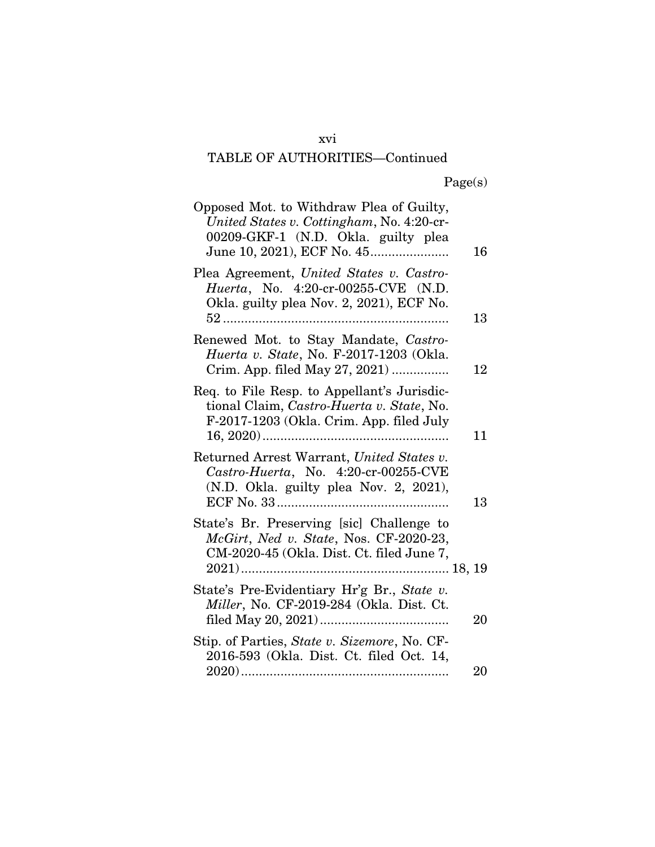#### xvi

### TABLE OF AUTHORITIES—Continued

|  | Page(s) |
|--|---------|
|  |         |

| Opposed Mot. to Withdraw Plea of Guilty,<br>United States v. Cottingham, No. 4:20-cr-<br>00209-GKF-1 (N.D. Okla. guilty plea         | 16 |
|--------------------------------------------------------------------------------------------------------------------------------------|----|
| Plea Agreement, United States v. Castro-<br>Huerta, No. 4:20-cr-00255-CVE (N.D.<br>Okla. guilty plea Nov. 2, 2021), ECF No.          | 13 |
| Renewed Mot. to Stay Mandate, Castro-<br>Huerta v. State, No. F-2017-1203 (Okla.<br>Crim. App. filed May 27, 2021)                   | 12 |
| Req. to File Resp. to Appellant's Jurisdic-<br>tional Claim, Castro-Huerta v. State, No.<br>F-2017-1203 (Okla. Crim. App. filed July | 11 |
| Returned Arrest Warrant, United States v.<br>Castro-Huerta, No. 4:20-cr-00255-CVE<br>(N.D. Okla. guilty plea Nov. 2, 2021),          | 13 |
| State's Br. Preserving [sic] Challenge to<br>McGirt, Ned v. State, Nos. CF-2020-23,<br>CM-2020-45 (Okla. Dist. Ct. filed June 7,     |    |
| State's Pre-Evidentiary Hr'g Br., State v.<br>Miller, No. CF-2019-284 (Okla. Dist. Ct.                                               | 20 |
| Stip. of Parties, State v. Sizemore, No. CF-<br>2016-593 (Okla. Dist. Ct. filed Oct. 14,                                             | 20 |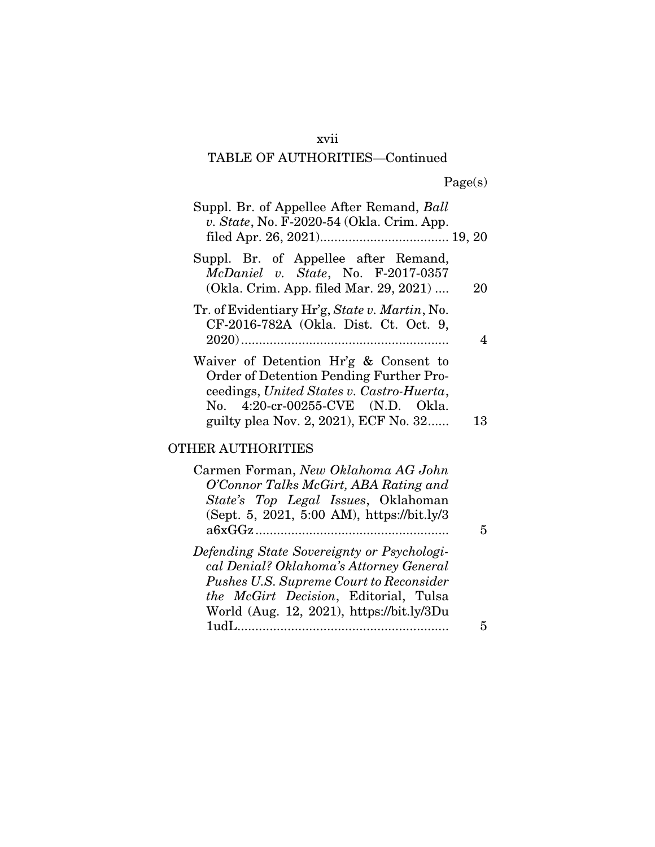#### xvii

# TABLE OF AUTHORITIES—Continued

|  | Page(s) |
|--|---------|
|  |         |

| Suppl. Br. of Appellee After Remand, Ball<br>v. State, No. F-2020-54 (Okla. Crim. App.                                                                                                                      |    |
|-------------------------------------------------------------------------------------------------------------------------------------------------------------------------------------------------------------|----|
| Suppl. Br. of Appellee after Remand,<br>$McDaniel$ v. State, No. F-2017-0357<br>(Okla. Crim. App. filed Mar. 29, 2021)                                                                                      | 20 |
| Tr. of Evidentiary Hr'g, State v. Martin, No.<br>CF-2016-782A (Okla. Dist. Ct. Oct. 9,                                                                                                                      | 4  |
| Waiver of Detention Hr'g & Consent to<br>Order of Detention Pending Further Pro-<br>ceedings, United States v. Castro-Huerta,<br>No. 4:20-cr-00255-CVE (N.D. Okla.<br>guilty plea Nov. 2, 2021), ECF No. 32 | 13 |
|                                                                                                                                                                                                             |    |

#### OTHER AUTHORITIES

| Carmen Forman, New Oklahoma AG John        |  |
|--------------------------------------------|--|
| O'Connor Talks McGirt, ABA Rating and      |  |
| State's Top Legal Issues, Oklahoman        |  |
| (Sept. 5, 2021, 5:00 AM), https://bit.ly/3 |  |
|                                            |  |
| Defending State Sovereignty or Psychologi- |  |
| cal Denial? Oklahoma's Attorney General    |  |
| Pushes U.S. Supreme Court to Reconsider    |  |
| the McGirt Decision, Editorial, Tulsa      |  |
| World (Aug. 12, 2021), https://bit.ly/3Du  |  |
| 1 <sub>inf</sub>                           |  |
|                                            |  |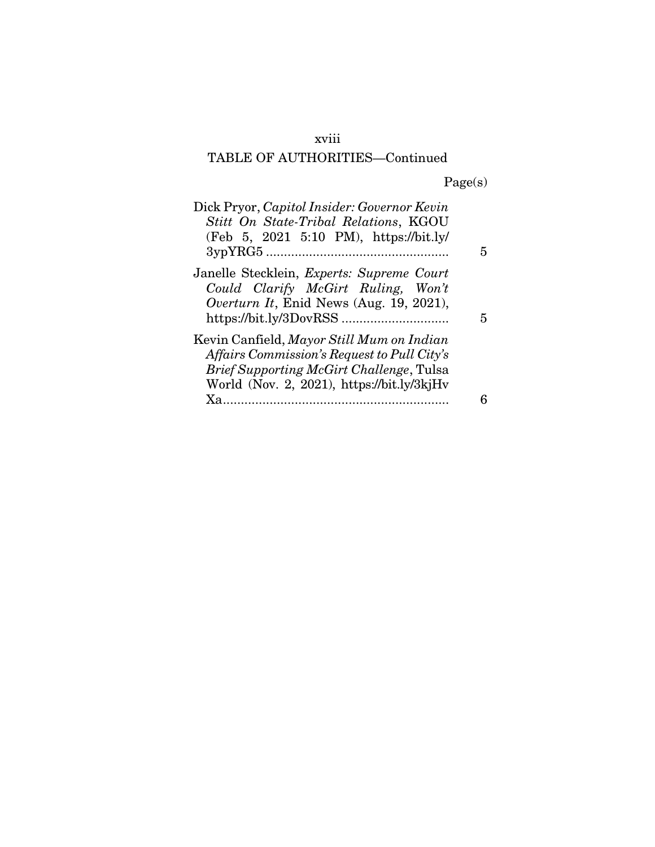#### xviii

# TABLE OF AUTHORITIES—Continued

Page(s)

| Dick Pryor, Capitol Insider: Governor Kevin<br>Stitt On State-Tribal Relations, KGOU<br>(Feb 5, 2021 5:10 PM), https://bit.ly/                                                            |   |
|-------------------------------------------------------------------------------------------------------------------------------------------------------------------------------------------|---|
| Janelle Stecklein, <i>Experts: Supreme Court</i><br>Could Clarify McGirt Ruling, Won't<br><i>Overturn It</i> , Enid News (Aug. 19, 2021),                                                 | 5 |
| Kevin Canfield, Mayor Still Mum on Indian<br>Affairs Commission's Request to Pull City's<br><b>Brief Supporting McGirt Challenge, Tulsa</b><br>World (Nov. 2, 2021), https://bit.ly/3kjHv |   |
| $X_{a}$                                                                                                                                                                                   |   |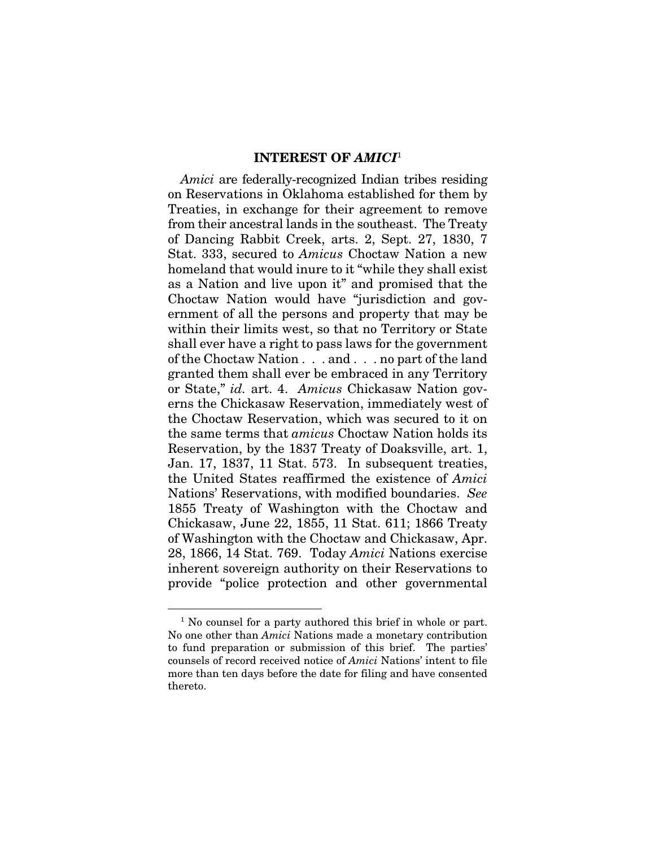#### INTEREST OF *AMICI*<sup>1</sup>

*Amici* are federally-recognized Indian tribes residing on Reservations in Oklahoma established for them by Treaties, in exchange for their agreement to remove from their ancestral lands in the southeast. The Treaty of Dancing Rabbit Creek, arts. 2, Sept. 27, 1830, 7 Stat. 333, secured to *Amicus* Choctaw Nation a new homeland that would inure to it "while they shall exist as a Nation and live upon it" and promised that the Choctaw Nation would have "jurisdiction and government of all the persons and property that may be within their limits west, so that no Territory or State shall ever have a right to pass laws for the government of the Choctaw Nation . . . and . . . no part of the land granted them shall ever be embraced in any Territory or State," *id.* art. 4. *Amicus* Chickasaw Nation governs the Chickasaw Reservation, immediately west of the Choctaw Reservation, which was secured to it on the same terms that *amicus* Choctaw Nation holds its Reservation, by the 1837 Treaty of Doaksville, art. 1, Jan. 17, 1837, 11 Stat. 573. In subsequent treaties, the United States reaffirmed the existence of *Amici*  Nations' Reservations, with modified boundaries. *See* 1855 Treaty of Washington with the Choctaw and Chickasaw, June 22, 1855, 11 Stat. 611; 1866 Treaty of Washington with the Choctaw and Chickasaw, Apr. 28, 1866, 14 Stat. 769. Today *Amici* Nations exercise inherent sovereign authority on their Reservations to provide "police protection and other governmental

<sup>&</sup>lt;sup>1</sup> No counsel for a party authored this brief in whole or part. No one other than *Amici* Nations made a monetary contribution to fund preparation or submission of this brief. The parties' counsels of record received notice of *Amici* Nations' intent to file more than ten days before the date for filing and have consented thereto.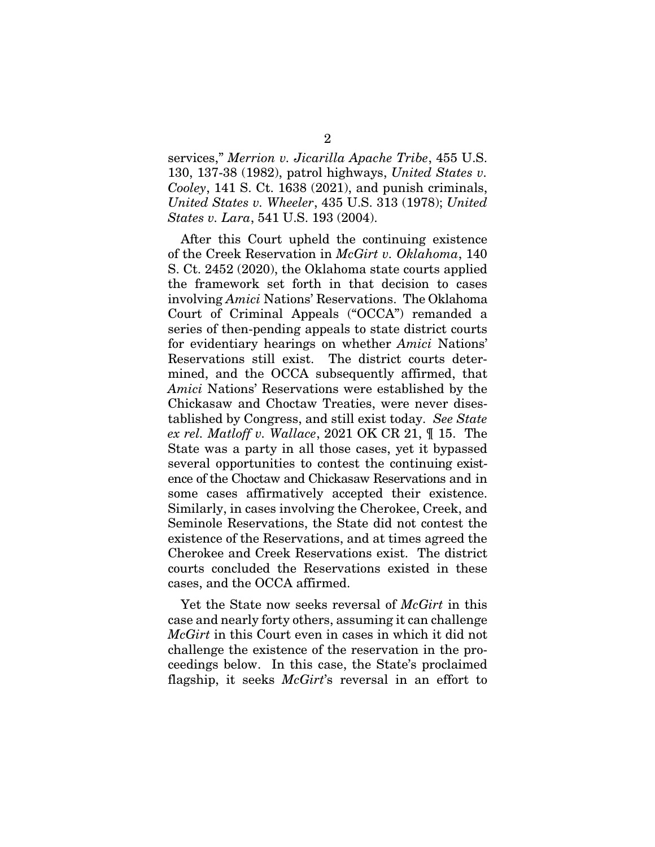services," *Merrion v. Jicarilla Apache Tribe*, 455 U.S. 130, 137-38 (1982), patrol highways, *United States v. Cooley*, 141 S. Ct. 1638 (2021), and punish criminals, *United States v. Wheeler*, 435 U.S. 313 (1978); *United States v. Lara*, 541 U.S. 193 (2004).

After this Court upheld the continuing existence of the Creek Reservation in *McGirt v. Oklahoma*, 140 S. Ct. 2452 (2020), the Oklahoma state courts applied the framework set forth in that decision to cases involving *Amici* Nations' Reservations. The Oklahoma Court of Criminal Appeals ("OCCA") remanded a series of then-pending appeals to state district courts for evidentiary hearings on whether *Amici* Nations' Reservations still exist. The district courts determined, and the OCCA subsequently affirmed, that *Amici* Nations' Reservations were established by the Chickasaw and Choctaw Treaties, were never disestablished by Congress, and still exist today. *See State ex rel. Matloff v. Wallace*, 2021 OK CR 21, ¶ 15. The State was a party in all those cases, yet it bypassed several opportunities to contest the continuing existence of the Choctaw and Chickasaw Reservations and in some cases affirmatively accepted their existence. Similarly, in cases involving the Cherokee, Creek, and Seminole Reservations, the State did not contest the existence of the Reservations, and at times agreed the Cherokee and Creek Reservations exist. The district courts concluded the Reservations existed in these cases, and the OCCA affirmed.

Yet the State now seeks reversal of *McGirt* in this case and nearly forty others, assuming it can challenge *McGirt* in this Court even in cases in which it did not challenge the existence of the reservation in the proceedings below. In this case, the State's proclaimed flagship, it seeks *McGirt*'s reversal in an effort to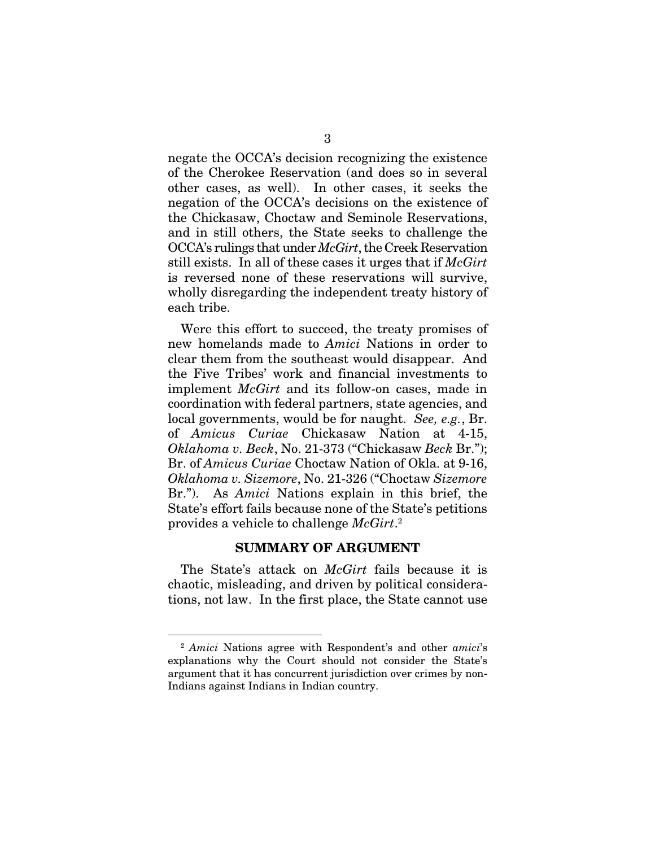negate the OCCA's decision recognizing the existence of the Cherokee Reservation (and does so in several other cases, as well). In other cases, it seeks the negation of the OCCA's decisions on the existence of the Chickasaw, Choctaw and Seminole Reservations, and in still others, the State seeks to challenge the OCCA's rulings that under *McGirt*, the Creek Reservation still exists. In all of these cases it urges that if *McGirt* is reversed none of these reservations will survive, wholly disregarding the independent treaty history of each tribe.

Were this effort to succeed, the treaty promises of new homelands made to *Amici* Nations in order to clear them from the southeast would disappear. And the Five Tribes' work and financial investments to implement *McGirt* and its follow-on cases, made in coordination with federal partners, state agencies, and local governments, would be for naught. *See, e.g.*, Br. of *Amicus Curiae* Chickasaw Nation at 4-15, *Oklahoma v. Beck*, No. 21-373 ("Chickasaw *Beck* Br."); Br. of *Amicus Curiae* Choctaw Nation of Okla. at 9-16, *Oklahoma v. Sizemore*, No. 21-326 ("Choctaw *Sizemore* Br."). As *Amici* Nations explain in this brief, the State's effort fails because none of the State's petitions provides a vehicle to challenge *McGirt*. 2

#### SUMMARY OF ARGUMENT

The State's attack on *McGirt* fails because it is chaotic, misleading, and driven by political considerations, not law. In the first place, the State cannot use

<sup>2</sup> *Amici* Nations agree with Respondent's and other *amici*'s explanations why the Court should not consider the State's argument that it has concurrent jurisdiction over crimes by non-Indians against Indians in Indian country.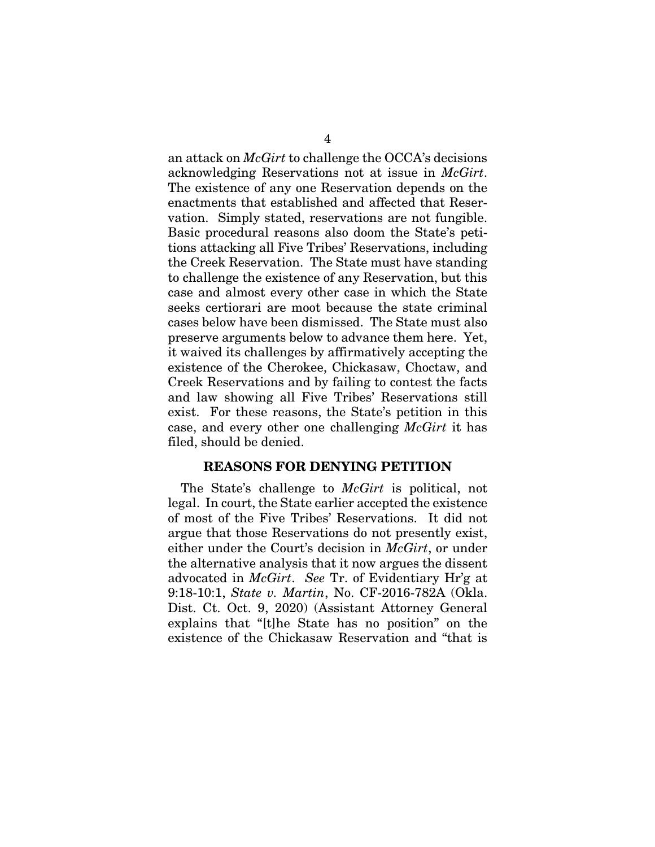an attack on *McGirt* to challenge the OCCA's decisions acknowledging Reservations not at issue in *McGirt*. The existence of any one Reservation depends on the enactments that established and affected that Reservation. Simply stated, reservations are not fungible. Basic procedural reasons also doom the State's petitions attacking all Five Tribes' Reservations, including the Creek Reservation. The State must have standing to challenge the existence of any Reservation, but this case and almost every other case in which the State seeks certiorari are moot because the state criminal cases below have been dismissed. The State must also preserve arguments below to advance them here. Yet, it waived its challenges by affirmatively accepting the existence of the Cherokee, Chickasaw, Choctaw, and Creek Reservations and by failing to contest the facts and law showing all Five Tribes' Reservations still exist. For these reasons, the State's petition in this case, and every other one challenging *McGirt* it has filed, should be denied.

#### REASONS FOR DENYING PETITION

The State's challenge to *McGirt* is political, not legal. In court, the State earlier accepted the existence of most of the Five Tribes' Reservations. It did not argue that those Reservations do not presently exist, either under the Court's decision in *McGirt*, or under the alternative analysis that it now argues the dissent advocated in *McGirt*. *See* Tr. of Evidentiary Hr'g at 9:18-10:1, *State v. Martin*, No. CF-2016-782A (Okla. Dist. Ct. Oct. 9, 2020) (Assistant Attorney General explains that "[t]he State has no position" on the existence of the Chickasaw Reservation and "that is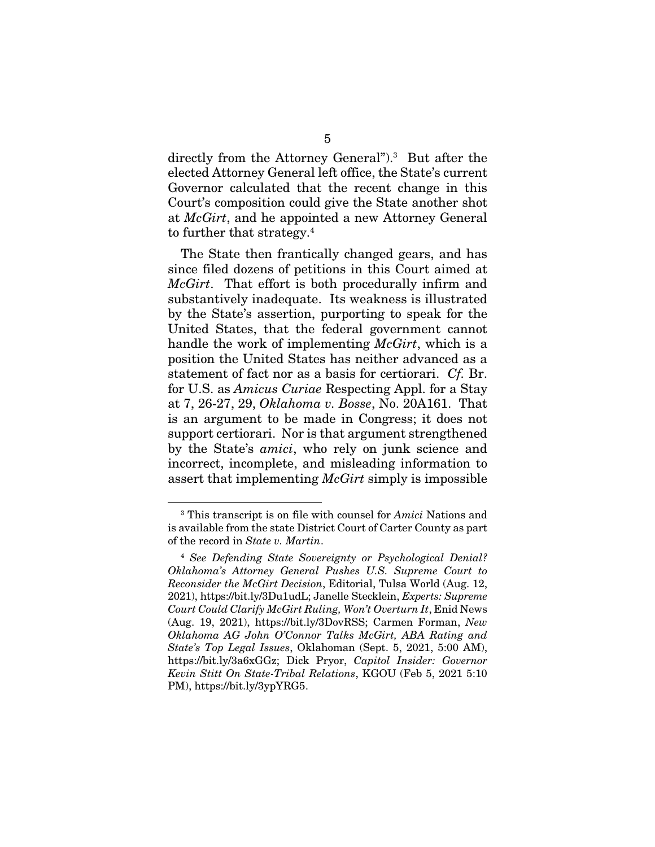directly from the Attorney General").3 But after the elected Attorney General left office, the State's current Governor calculated that the recent change in this Court's composition could give the State another shot at *McGirt*, and he appointed a new Attorney General to further that strategy.4

The State then frantically changed gears, and has since filed dozens of petitions in this Court aimed at *McGirt*. That effort is both procedurally infirm and substantively inadequate. Its weakness is illustrated by the State's assertion, purporting to speak for the United States, that the federal government cannot handle the work of implementing *McGirt*, which is a position the United States has neither advanced as a statement of fact nor as a basis for certiorari. *Cf.* Br. for U.S. as *Amicus Curiae* Respecting Appl. for a Stay at 7, 26-27, 29, *Oklahoma v. Bosse*, No. 20A161. That is an argument to be made in Congress; it does not support certiorari. Nor is that argument strengthened by the State's *amici*, who rely on junk science and incorrect, incomplete, and misleading information to assert that implementing *McGirt* simply is impossible

<sup>3</sup> This transcript is on file with counsel for *Amici* Nations and is available from the state District Court of Carter County as part of the record in *State v. Martin*.

<sup>4</sup> *See Defending State Sovereignty or Psychological Denial? Oklahoma's Attorney General Pushes U.S. Supreme Court to Reconsider the McGirt Decision*, Editorial, Tulsa World (Aug. 12, 2021), https://bit.ly/3Du1udL; Janelle Stecklein, *Experts: Supreme Court Could Clarify McGirt Ruling, Won't Overturn It*, Enid News (Aug. 19, 2021), https://bit.ly/3DovRSS; Carmen Forman, *New Oklahoma AG John O'Connor Talks McGirt, ABA Rating and State's Top Legal Issues*, Oklahoman (Sept. 5, 2021, 5:00 AM), https://bit.ly/3a6xGGz; Dick Pryor, *Capitol Insider: Governor Kevin Stitt On State-Tribal Relations*, KGOU (Feb 5, 2021 5:10 PM), https://bit.ly/3ypYRG5.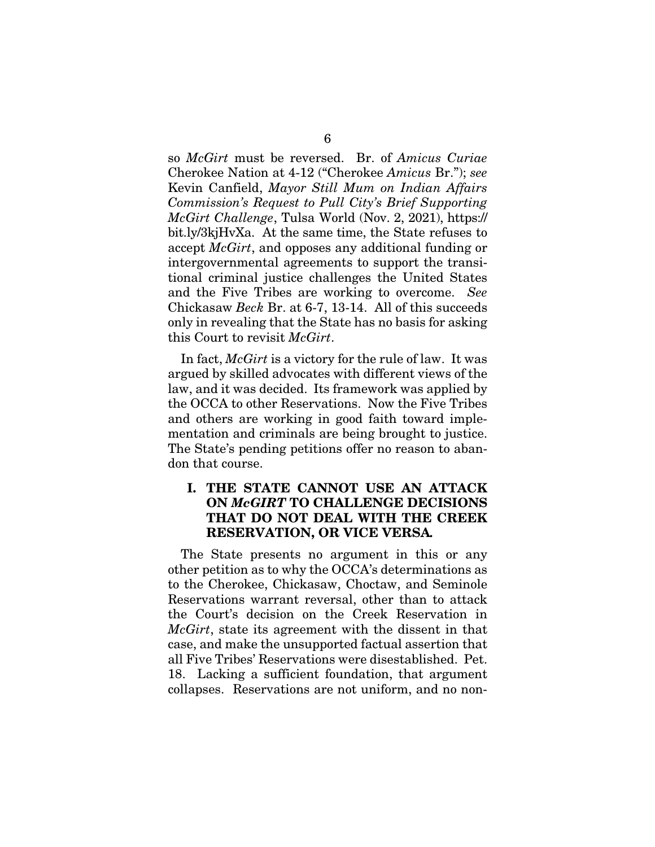so *McGirt* must be reversed. Br. of *Amicus Curiae* Cherokee Nation at 4-12 ("Cherokee *Amicus* Br."); *see*  Kevin Canfield, *Mayor Still Mum on Indian Affairs Commission's Request to Pull City's Brief Supporting McGirt Challenge*, Tulsa World (Nov. 2, 2021), https:// bit.ly/3kjHvXa. At the same time, the State refuses to accept *McGirt*, and opposes any additional funding or intergovernmental agreements to support the transitional criminal justice challenges the United States and the Five Tribes are working to overcome. *See*  Chickasaw *Beck* Br. at 6-7, 13-14. All of this succeeds only in revealing that the State has no basis for asking this Court to revisit *McGirt*.

In fact, *McGirt* is a victory for the rule of law. It was argued by skilled advocates with different views of the law, and it was decided. Its framework was applied by the OCCA to other Reservations. Now the Five Tribes and others are working in good faith toward implementation and criminals are being brought to justice. The State's pending petitions offer no reason to abandon that course.

#### I. THE STATE CANNOT USE AN ATTACK ON *McGIRT* TO CHALLENGE DECISIONS THAT DO NOT DEAL WITH THE CREEK RESERVATION, OR VICE VERSA*.*

The State presents no argument in this or any other petition as to why the OCCA's determinations as to the Cherokee, Chickasaw, Choctaw, and Seminole Reservations warrant reversal, other than to attack the Court's decision on the Creek Reservation in *McGirt*, state its agreement with the dissent in that case, and make the unsupported factual assertion that all Five Tribes' Reservations were disestablished. Pet. 18. Lacking a sufficient foundation, that argument collapses. Reservations are not uniform, and no non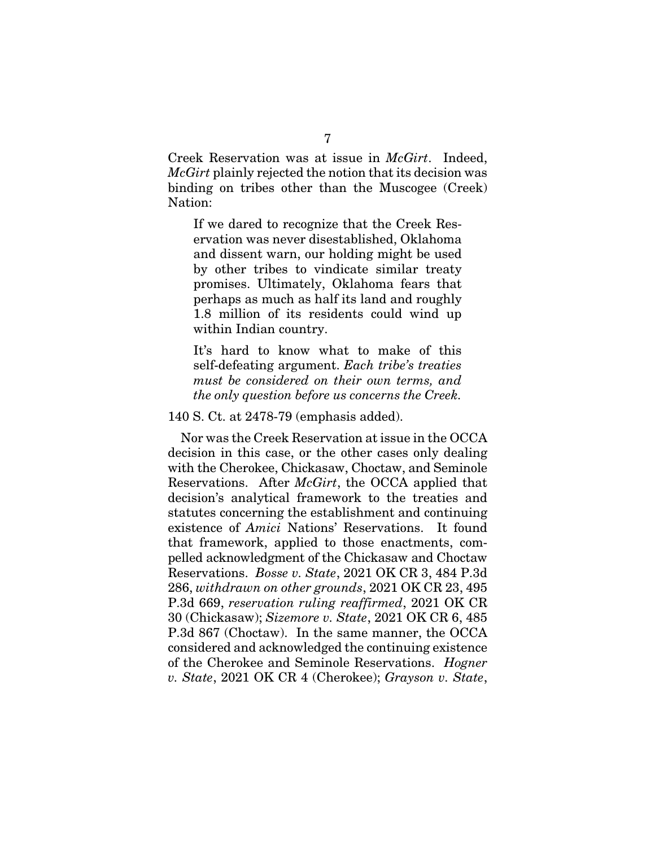Creek Reservation was at issue in *McGirt*. Indeed, *McGirt* plainly rejected the notion that its decision was binding on tribes other than the Muscogee (Creek) Nation:

If we dared to recognize that the Creek Reservation was never disestablished, Oklahoma and dissent warn, our holding might be used by other tribes to vindicate similar treaty promises. Ultimately, Oklahoma fears that perhaps as much as half its land and roughly 1.8 million of its residents could wind up within Indian country.

It's hard to know what to make of this self-defeating argument. *Each tribe's treaties must be considered on their own terms, and the only question before us concerns the Creek.*

140 S. Ct. at 2478-79 (emphasis added).

Nor was the Creek Reservation at issue in the OCCA decision in this case, or the other cases only dealing with the Cherokee, Chickasaw, Choctaw, and Seminole Reservations. After *McGirt*, the OCCA applied that decision's analytical framework to the treaties and statutes concerning the establishment and continuing existence of *Amici* Nations' Reservations. It found that framework, applied to those enactments, compelled acknowledgment of the Chickasaw and Choctaw Reservations. *Bosse v. State*, 2021 OK CR 3, 484 P.3d 286, *withdrawn on other grounds*, 2021 OK CR 23, 495 P.3d 669, *reservation ruling reaffirmed*, 2021 OK CR 30 (Chickasaw); *Sizemore v. State*, 2021 OK CR 6, 485 P.3d 867 (Choctaw). In the same manner, the OCCA considered and acknowledged the continuing existence of the Cherokee and Seminole Reservations. *Hogner v. State*, 2021 OK CR 4 (Cherokee); *Grayson v. State*,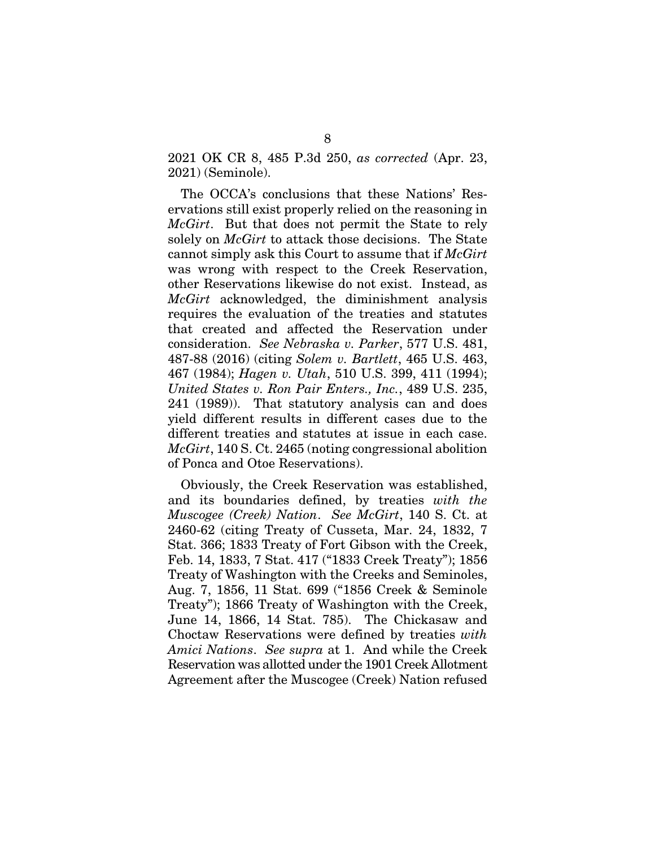2021 OK CR 8, 485 P.3d 250, *as corrected* (Apr. 23, 2021) (Seminole).

The OCCA's conclusions that these Nations' Reservations still exist properly relied on the reasoning in *McGirt*. But that does not permit the State to rely solely on *McGirt* to attack those decisions. The State cannot simply ask this Court to assume that if *McGirt* was wrong with respect to the Creek Reservation, other Reservations likewise do not exist. Instead, as *McGirt* acknowledged, the diminishment analysis requires the evaluation of the treaties and statutes that created and affected the Reservation under consideration. *See Nebraska v. Parker*, 577 U.S. 481, 487-88 (2016) (citing *Solem v. Bartlett*, 465 U.S. 463, 467 (1984); *Hagen v. Utah*, 510 U.S. 399, 411 (1994); *United States v. Ron Pair Enters., Inc.*, 489 U.S. 235, 241 (1989)). That statutory analysis can and does yield different results in different cases due to the different treaties and statutes at issue in each case. *McGirt*, 140 S. Ct. 2465 (noting congressional abolition of Ponca and Otoe Reservations).

Obviously, the Creek Reservation was established, and its boundaries defined, by treaties *with the Muscogee (Creek) Nation*. *See McGirt*, 140 S. Ct. at 2460-62 (citing Treaty of Cusseta, Mar. 24, 1832, 7 Stat. 366; 1833 Treaty of Fort Gibson with the Creek, Feb. 14, 1833, 7 Stat. 417 ("1833 Creek Treaty"); 1856 Treaty of Washington with the Creeks and Seminoles, Aug. 7, 1856, 11 Stat. 699 ("1856 Creek & Seminole Treaty"); 1866 Treaty of Washington with the Creek, June 14, 1866, 14 Stat. 785). The Chickasaw and Choctaw Reservations were defined by treaties *with Amici Nations*. *See supra* at 1. And while the Creek Reservation was allotted under the 1901 Creek Allotment Agreement after the Muscogee (Creek) Nation refused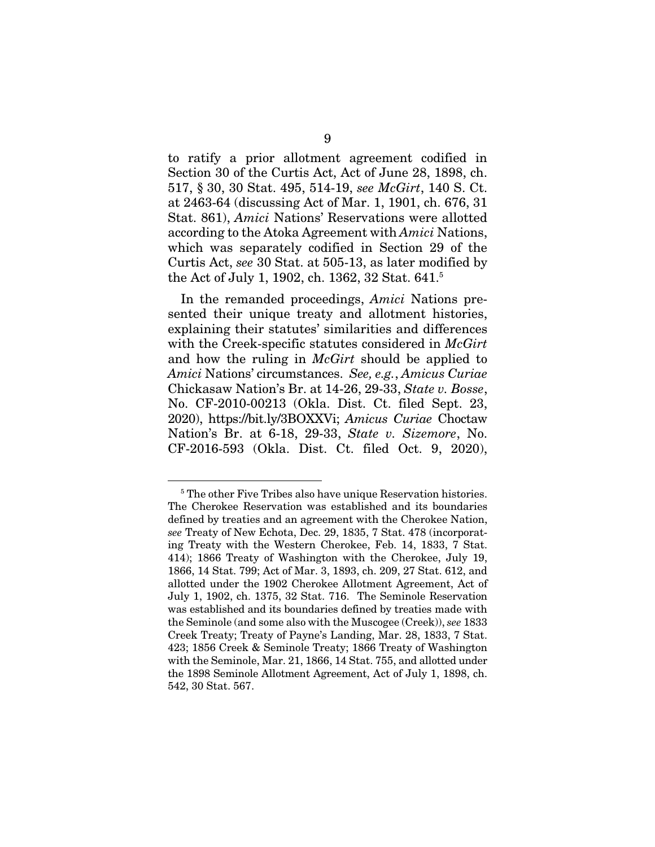to ratify a prior allotment agreement codified in Section 30 of the Curtis Act, Act of June 28, 1898, ch. 517, § 30, 30 Stat. 495, 514-19, *see McGirt*, 140 S. Ct. at 2463-64 (discussing Act of Mar. 1, 1901, ch. 676, 31 Stat. 861), *Amici* Nations' Reservations were allotted according to the Atoka Agreement with *Amici* Nations, which was separately codified in Section 29 of the Curtis Act, *see* 30 Stat. at 505-13, as later modified by the Act of July 1, 1902, ch. 1362, 32 Stat. 641.5

In the remanded proceedings, *Amici* Nations presented their unique treaty and allotment histories, explaining their statutes' similarities and differences with the Creek-specific statutes considered in *McGirt* and how the ruling in *McGirt* should be applied to *Amici* Nations' circumstances. *See, e.g.*, *Amicus Curiae*  Chickasaw Nation's Br. at 14-26, 29-33, *State v. Bosse*, No. CF-2010-00213 (Okla. Dist. Ct. filed Sept. 23, 2020), https://bit.ly/3BOXXVi; *Amicus Curiae* Choctaw Nation's Br. at 6-18, 29-33, *State v. Sizemore*, No. CF-2016-593 (Okla. Dist. Ct. filed Oct. 9, 2020),

<sup>5</sup> The other Five Tribes also have unique Reservation histories. The Cherokee Reservation was established and its boundaries defined by treaties and an agreement with the Cherokee Nation, *see* Treaty of New Echota, Dec. 29, 1835, 7 Stat. 478 (incorporating Treaty with the Western Cherokee, Feb. 14, 1833, 7 Stat. 414); 1866 Treaty of Washington with the Cherokee, July 19, 1866, 14 Stat. 799; Act of Mar. 3, 1893, ch. 209, 27 Stat. 612, and allotted under the 1902 Cherokee Allotment Agreement, Act of July 1, 1902, ch. 1375, 32 Stat. 716. The Seminole Reservation was established and its boundaries defined by treaties made with the Seminole (and some also with the Muscogee (Creek)), *see* 1833 Creek Treaty; Treaty of Payne's Landing, Mar. 28, 1833, 7 Stat. 423; 1856 Creek & Seminole Treaty; 1866 Treaty of Washington with the Seminole, Mar. 21, 1866, 14 Stat. 755, and allotted under the 1898 Seminole Allotment Agreement, Act of July 1, 1898, ch. 542, 30 Stat. 567.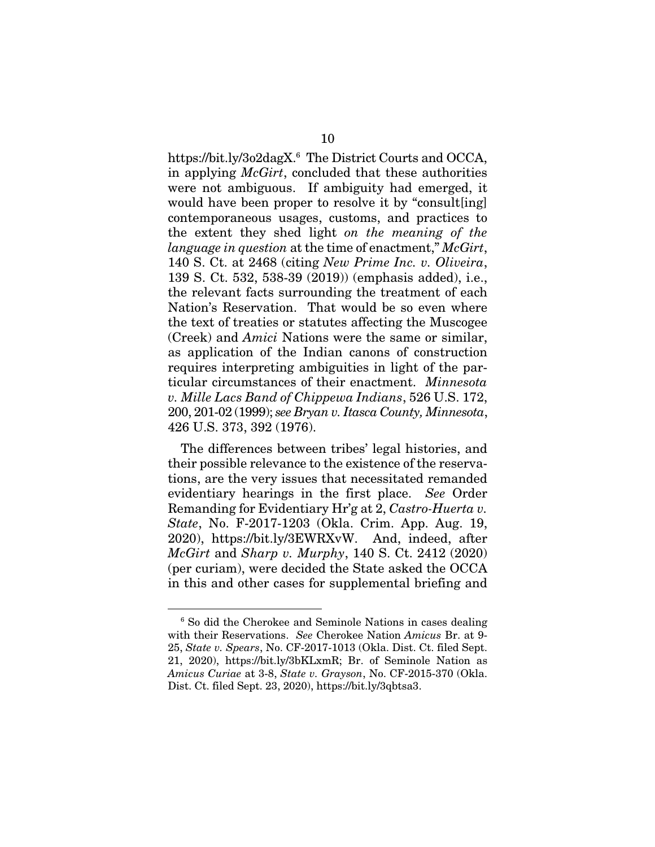https://bit.ly/3o2dagX.6 The District Courts and OCCA, in applying *McGirt*, concluded that these authorities were not ambiguous. If ambiguity had emerged, it would have been proper to resolve it by "consult[ing] contemporaneous usages, customs, and practices to the extent they shed light *on the meaning of the language in question* at the time of enactment," *McGirt*, 140 S. Ct. at 2468 (citing *New Prime Inc. v. Oliveira*, 139 S. Ct. 532, 538-39 (2019)) (emphasis added), i.e., the relevant facts surrounding the treatment of each Nation's Reservation. That would be so even where the text of treaties or statutes affecting the Muscogee (Creek) and *Amici* Nations were the same or similar, as application of the Indian canons of construction requires interpreting ambiguities in light of the particular circumstances of their enactment. *Minnesota v. Mille Lacs Band of Chippewa Indians*, 526 U.S. 172, 200, 201-02 (1999); *see Bryan v. Itasca County, Minnesota*, 426 U.S. 373, 392 (1976).

The differences between tribes' legal histories, and their possible relevance to the existence of the reservations, are the very issues that necessitated remanded evidentiary hearings in the first place. *See* Order Remanding for Evidentiary Hr'g at 2, *Castro-Huerta v. State*, No. F-2017-1203 (Okla. Crim. App. Aug. 19, 2020), https://bit.ly/3EWRXvW. And, indeed, after *McGirt* and *Sharp v. Murphy*, 140 S. Ct. 2412 (2020) (per curiam), were decided the State asked the OCCA in this and other cases for supplemental briefing and

<sup>6</sup> So did the Cherokee and Seminole Nations in cases dealing with their Reservations. *See* Cherokee Nation *Amicus* Br. at 9- 25, *State v. Spears*, No. CF-2017-1013 (Okla. Dist. Ct. filed Sept. 21, 2020), https://bit.ly/3bKLxmR; Br. of Seminole Nation as *Amicus Curiae* at 3-8, *State v. Grayson*, No. CF-2015-370 (Okla. Dist. Ct. filed Sept. 23, 2020), https://bit.ly/3qbtsa3.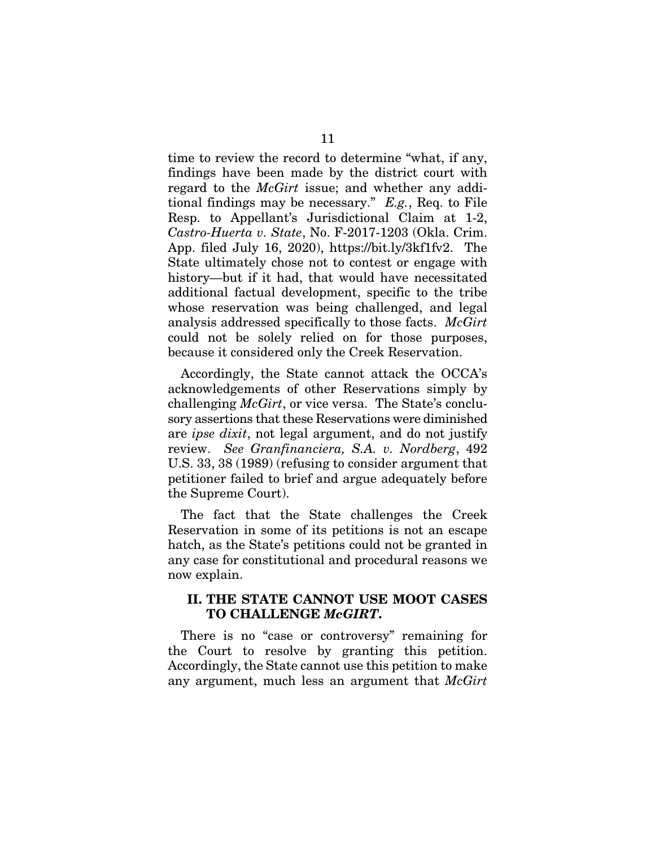time to review the record to determine "what, if any, findings have been made by the district court with regard to the *McGirt* issue; and whether any additional findings may be necessary." *E.g.*, Req. to File Resp. to Appellant's Jurisdictional Claim at 1-2, *Castro-Huerta v. State*, No. F-2017-1203 (Okla. Crim. App. filed July 16, 2020), https://bit.ly/3kf1fv2. The State ultimately chose not to contest or engage with history—but if it had, that would have necessitated additional factual development, specific to the tribe whose reservation was being challenged, and legal analysis addressed specifically to those facts. *McGirt* could not be solely relied on for those purposes, because it considered only the Creek Reservation.

Accordingly, the State cannot attack the OCCA's acknowledgements of other Reservations simply by challenging *McGirt*, or vice versa. The State's conclusory assertions that these Reservations were diminished are *ipse dixit*, not legal argument, and do not justify review. *See Granfinanciera, S.A. v. Nordberg*, 492 U.S. 33, 38 (1989) (refusing to consider argument that petitioner failed to brief and argue adequately before the Supreme Court).

The fact that the State challenges the Creek Reservation in some of its petitions is not an escape hatch, as the State's petitions could not be granted in any case for constitutional and procedural reasons we now explain.

#### II. THE STATE CANNOT USE MOOT CASES TO CHALLENGE *McGIRT*.

There is no "case or controversy" remaining for the Court to resolve by granting this petition. Accordingly, the State cannot use this petition to make any argument, much less an argument that *McGirt*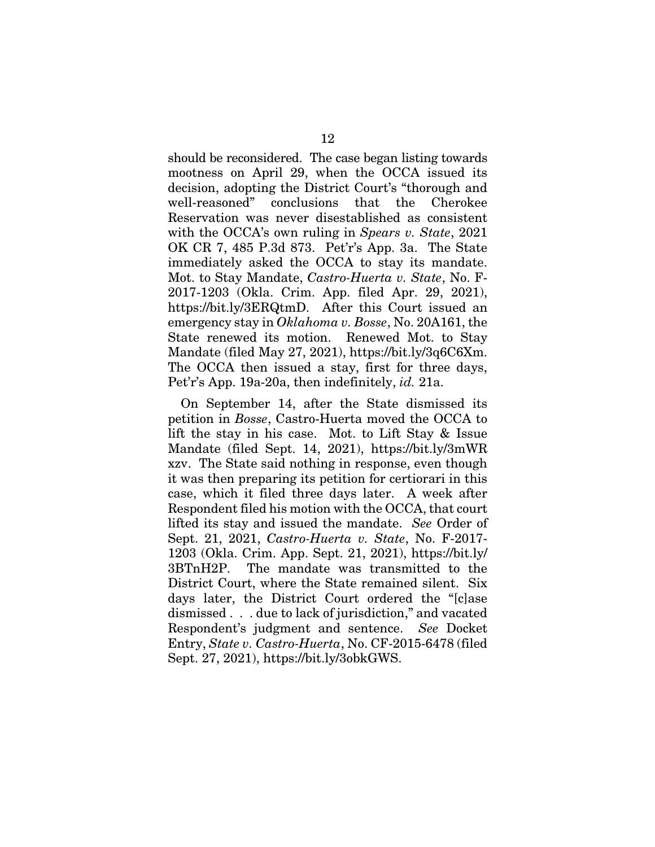should be reconsidered. The case began listing towards mootness on April 29, when the OCCA issued its decision, adopting the District Court's "thorough and well-reasoned" conclusions that the Cherokee Reservation was never disestablished as consistent with the OCCA's own ruling in *Spears v. State*, 2021 OK CR 7, 485 P.3d 873. Pet'r's App. 3a. The State immediately asked the OCCA to stay its mandate. Mot. to Stay Mandate, *Castro-Huerta v. State*, No. F-2017-1203 (Okla. Crim. App. filed Apr. 29, 2021), https://bit.ly/3ERQtmD. After this Court issued an emergency stay in *Oklahoma v. Bosse*, No. 20A161, the State renewed its motion. Renewed Mot. to Stay Mandate (filed May 27, 2021), https://bit.ly/3q6C6Xm. The OCCA then issued a stay, first for three days, Pet'r's App. 19a-20a, then indefinitely, *id.* 21a.

On September 14, after the State dismissed its petition in *Bosse*, Castro-Huerta moved the OCCA to lift the stay in his case. Mot. to Lift Stay & Issue Mandate (filed Sept. 14, 2021), https://bit.ly/3mWR xzv. The State said nothing in response, even though it was then preparing its petition for certiorari in this case, which it filed three days later. A week after Respondent filed his motion with the OCCA, that court lifted its stay and issued the mandate. *See* Order of Sept. 21, 2021, *Castro-Huerta v. State*, No. F-2017- 1203 (Okla. Crim. App. Sept. 21, 2021), https://bit.ly/ 3BTnH2P. The mandate was transmitted to the District Court, where the State remained silent. Six days later, the District Court ordered the "[c]ase dismissed . . . due to lack of jurisdiction," and vacated Respondent's judgment and sentence. *See* Docket Entry, *State v. Castro-Huerta*, No. CF-2015-6478 (filed Sept. 27, 2021), https://bit.ly/3obkGWS.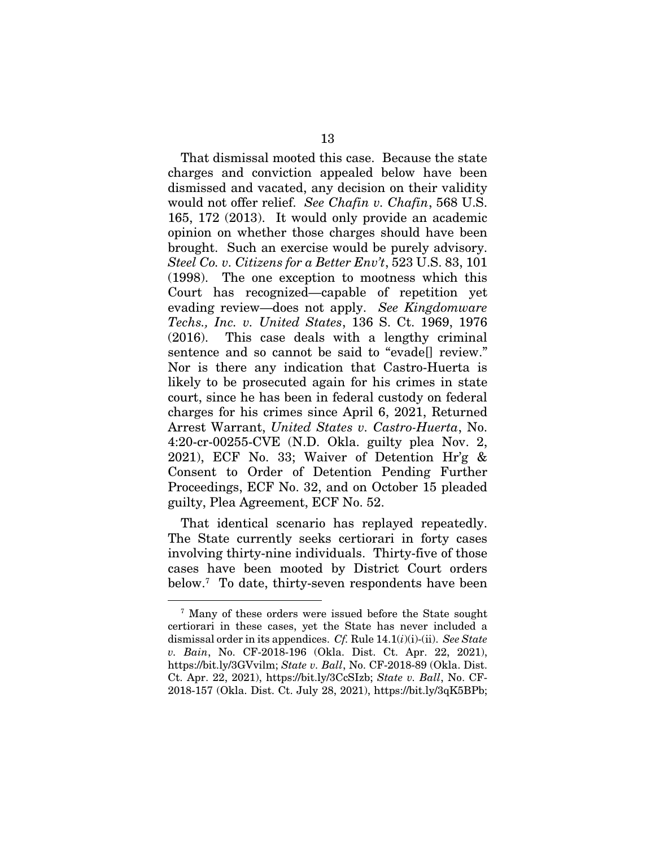That dismissal mooted this case. Because the state charges and conviction appealed below have been dismissed and vacated, any decision on their validity would not offer relief. *See Chafin v. Chafin*, 568 U.S. 165, 172 (2013). It would only provide an academic opinion on whether those charges should have been brought. Such an exercise would be purely advisory. *Steel Co. v. Citizens for a Better Env't*, 523 U.S. 83, 101 (1998). The one exception to mootness which this Court has recognized—capable of repetition yet evading review—does not apply. *See Kingdomware Techs., Inc. v. United States*, 136 S. Ct. 1969, 1976 (2016). This case deals with a lengthy criminal sentence and so cannot be said to "evade[] review." Nor is there any indication that Castro-Huerta is likely to be prosecuted again for his crimes in state court, since he has been in federal custody on federal charges for his crimes since April 6, 2021, Returned Arrest Warrant, *United States v. Castro-Huerta*, No. 4:20-cr-00255-CVE (N.D. Okla. guilty plea Nov. 2, 2021), ECF No. 33; Waiver of Detention Hr'g & Consent to Order of Detention Pending Further Proceedings, ECF No. 32, and on October 15 pleaded guilty, Plea Agreement, ECF No. 52.

That identical scenario has replayed repeatedly. The State currently seeks certiorari in forty cases involving thirty-nine individuals. Thirty-five of those cases have been mooted by District Court orders below.7 To date, thirty-seven respondents have been

<sup>7</sup> Many of these orders were issued before the State sought certiorari in these cases, yet the State has never included a dismissal order in its appendices. *Cf.* Rule 14.1(*i*)(i)-(ii). *See State v. Bain*, No. CF-2018-196 (Okla. Dist. Ct. Apr. 22, 2021), https://bit.ly/3GVvilm; *State v. Ball*, No. CF-2018-89 (Okla. Dist. Ct. Apr. 22, 2021), https://bit.ly/3CcSIzb; *State v. Ball*, No. CF-2018-157 (Okla. Dist. Ct. July 28, 2021), https://bit.ly/3qK5BPb;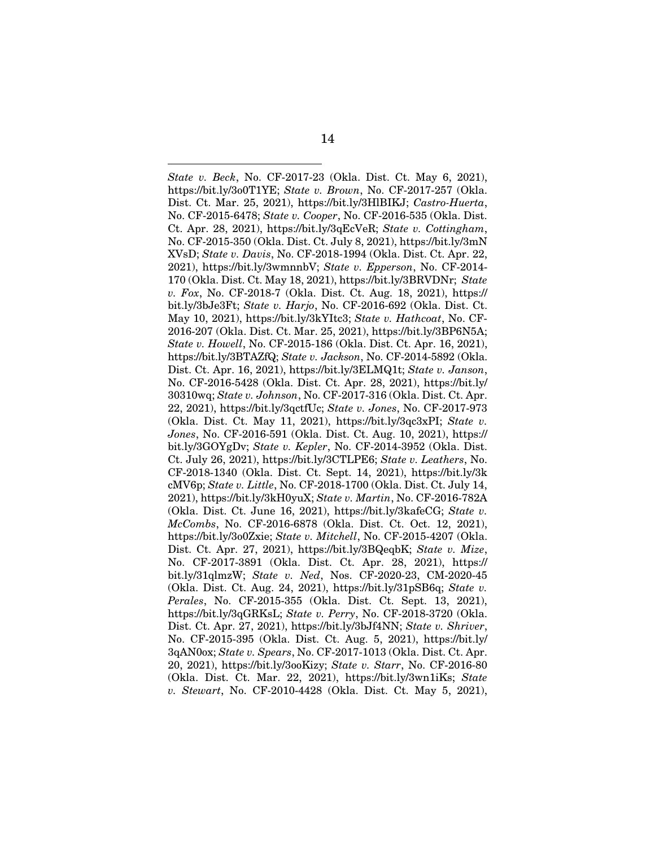*State v. Beck*, No. CF-2017-23 (Okla. Dist. Ct. May 6, 2021), https://bit.ly/3o0T1YE; *State v. Brown*, No. CF-2017-257 (Okla. Dist. Ct. Mar. 25, 2021), https://bit.ly/3HlBIKJ; *Castro-Huerta*, No. CF-2015-6478; *State v. Cooper*, No. CF-2016-535 (Okla. Dist. Ct. Apr. 28, 2021), https://bit.ly/3qEcVeR; *State v. Cottingham*, No. CF-2015-350 (Okla. Dist. Ct. July 8, 2021), https://bit.ly/3mN XVsD; *State v. Davis*, No. CF-2018-1994 (Okla. Dist. Ct. Apr. 22, 2021), https://bit.ly/3wmnnbV; *State v. Epperson*, No. CF-2014- 170 (Okla. Dist. Ct. May 18, 2021), https://bit.ly/3BRVDNr; *State v. Fox*, No. CF-2018-7 (Okla. Dist. Ct. Aug. 18, 2021), https:// bit.ly/3bJe3Ft; *State v. Harjo*, No. CF-2016-692 (Okla. Dist. Ct. May 10, 2021), https://bit.ly/3kYItc3; *State v. Hathcoat*, No. CF-2016-207 (Okla. Dist. Ct. Mar. 25, 2021), https://bit.ly/3BP6N5A; *State v. Howell*, No. CF-2015-186 (Okla. Dist. Ct. Apr. 16, 2021), https://bit.ly/3BTAZfQ; *State v. Jackson*, No. CF-2014-5892 (Okla. Dist. Ct. Apr. 16, 2021), https://bit.ly/3ELMQ1t; *State v. Janson*, No. CF-2016-5428 (Okla. Dist. Ct. Apr. 28, 2021), https://bit.ly/ 30310wq; *State v. Johnson*, No. CF-2017-316 (Okla. Dist. Ct. Apr. 22, 2021), https://bit.ly/3qctfUc; *State v. Jones*, No. CF-2017-973 (Okla. Dist. Ct. May 11, 2021), https://bit.ly/3qc3xPI; *State v. Jones*, No. CF-2016-591 (Okla. Dist. Ct. Aug. 10, 2021), https:// bit.ly/3GOYgDv; *State v. Kepler*, No. CF-2014-3952 (Okla. Dist. Ct. July 26, 2021), https://bit.ly/3CTLPE6; *State v. Leathers*, No. CF-2018-1340 (Okla. Dist. Ct. Sept. 14, 2021), https://bit.ly/3k cMV6p; *State v. Little*, No. CF-2018-1700 (Okla. Dist. Ct. July 14, 2021), https://bit.ly/3kH0yuX; *State v. Martin*, No. CF-2016-782A (Okla. Dist. Ct. June 16, 2021), https://bit.ly/3kafeCG; *State v. McCombs*, No. CF-2016-6878 (Okla. Dist. Ct. Oct. 12, 2021), https://bit.ly/3o0Zxie; *State v. Mitchell*, No. CF-2015-4207 (Okla. Dist. Ct. Apr. 27, 2021), https://bit.ly/3BQeqbK; *State v. Mize*, No. CF-2017-3891 (Okla. Dist. Ct. Apr. 28, 2021), https:// bit.ly/31qlmzW; *State v. Ned*, Nos. CF-2020-23, CM-2020-45 (Okla. Dist. Ct. Aug. 24, 2021), https://bit.ly/31pSB6q; *State v. Perales*, No. CF-2015-355 (Okla. Dist. Ct. Sept. 13, 2021), https://bit.ly/3qGRKsL; *State v. Perry*, No. CF-2018-3720 (Okla. Dist. Ct. Apr. 27, 2021), https://bit.ly/3bJf4NN; *State v. Shriver*, No. CF-2015-395 (Okla. Dist. Ct. Aug. 5, 2021), https://bit.ly/ 3qAN0ox; *State v. Spears*, No. CF-2017-1013 (Okla. Dist. Ct. Apr. 20, 2021), https://bit.ly/3ooKizy; *State v. Starr*, No. CF-2016-80 (Okla. Dist. Ct. Mar. 22, 2021), https://bit.ly/3wn1iKs; *State v. Stewart*, No. CF-2010-4428 (Okla. Dist. Ct. May 5, 2021),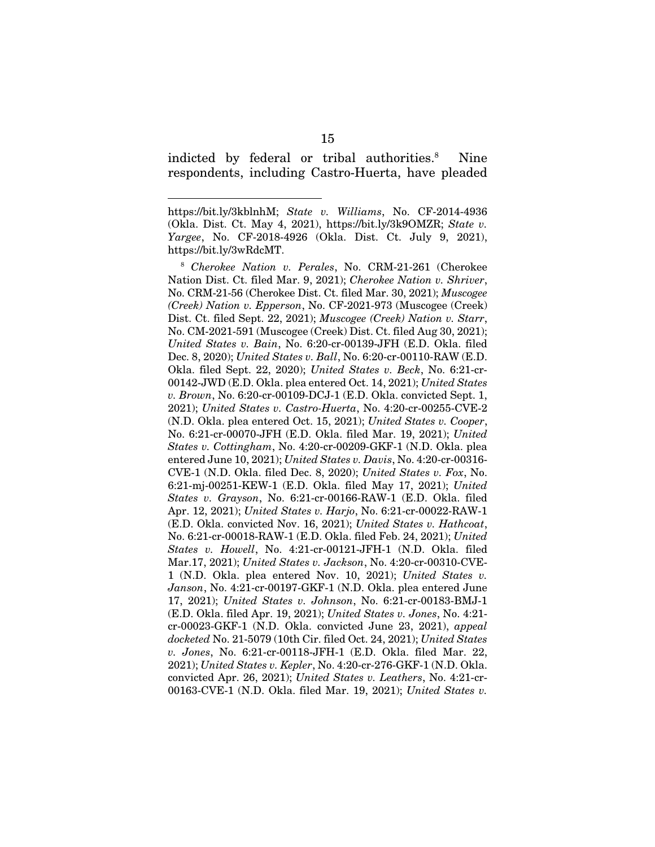indicted by federal or tribal authorities.<sup>8</sup> Nine respondents, including Castro-Huerta, have pleaded

https://bit.ly/3kblnhM; *State v. Williams*, No. CF-2014-4936 (Okla. Dist. Ct. May 4, 2021), https://bit.ly/3k9OMZR; *State v. Yargee*, No. CF-2018-4926 (Okla. Dist. Ct. July 9, 2021), https://bit.ly/3wRdcMT.

<sup>8</sup> *Cherokee Nation v. Perales*, No. CRM-21-261 (Cherokee Nation Dist. Ct. filed Mar. 9, 2021); *Cherokee Nation v. Shriver*, No. CRM-21-56 (Cherokee Dist. Ct. filed Mar. 30, 2021); *Muscogee (Creek) Nation v. Epperson*, No. CF-2021-973 (Muscogee (Creek) Dist. Ct. filed Sept. 22, 2021); *Muscogee (Creek) Nation v. Starr*, No. CM-2021-591 (Muscogee (Creek) Dist. Ct. filed Aug 30, 2021); *United States v. Bain*, No. 6:20-cr-00139-JFH (E.D. Okla. filed Dec. 8, 2020); *United States v. Ball*, No. 6:20-cr-00110-RAW (E.D. Okla. filed Sept. 22, 2020); *United States v. Beck*, No. 6:21-cr-00142-JWD (E.D. Okla. plea entered Oct. 14, 2021); *United States v. Brown*, No. 6:20-cr-00109-DCJ-1 (E.D. Okla. convicted Sept. 1, 2021); *United States v. Castro-Huerta*, No. 4:20-cr-00255-CVE-2 (N.D. Okla. plea entered Oct. 15, 2021); *United States v. Cooper*, No. 6:21-cr-00070-JFH (E.D. Okla. filed Mar. 19, 2021); *United States v. Cottingham*, No. 4:20-cr-00209-GKF-1 (N.D. Okla. plea entered June 10, 2021); *United States v. Davis*, No. 4:20-cr-00316- CVE-1 (N.D. Okla. filed Dec. 8, 2020); *United States v. Fox*, No. 6:21-mj-00251-KEW-1 (E.D. Okla. filed May 17, 2021); *United States v. Grayson*, No. 6:21-cr-00166-RAW-1 (E.D. Okla. filed Apr. 12, 2021); *United States v. Harjo*, No. 6:21-cr-00022-RAW-1 (E.D. Okla. convicted Nov. 16, 2021); *United States v. Hathcoat*, No. 6:21-cr-00018-RAW-1 (E.D. Okla. filed Feb. 24, 2021); *United States v. Howell*, No. 4:21-cr-00121-JFH-1 (N.D. Okla. filed Mar.17, 2021); *United States v. Jackson*, No. 4:20-cr-00310-CVE-1 (N.D. Okla. plea entered Nov. 10, 2021); *United States v. Janson*, No. 4:21-cr-00197-GKF-1 (N.D. Okla. plea entered June 17, 2021); *United States v. Johnson*, No. 6:21-cr-00183-BMJ-1 (E.D. Okla. filed Apr. 19, 2021); *United States v. Jones*, No. 4:21 cr-00023-GKF-1 (N.D. Okla. convicted June 23, 2021), *appeal docketed* No. 21-5079 (10th Cir. filed Oct. 24, 2021); *United States v. Jones*, No. 6:21-cr-00118-JFH-1 (E.D. Okla. filed Mar. 22, 2021); *United States v. Kepler*, No. 4:20-cr-276-GKF-1 (N.D. Okla. convicted Apr. 26, 2021); *United States v. Leathers*, No. 4:21-cr-00163-CVE-1 (N.D. Okla. filed Mar. 19, 2021); *United States v.*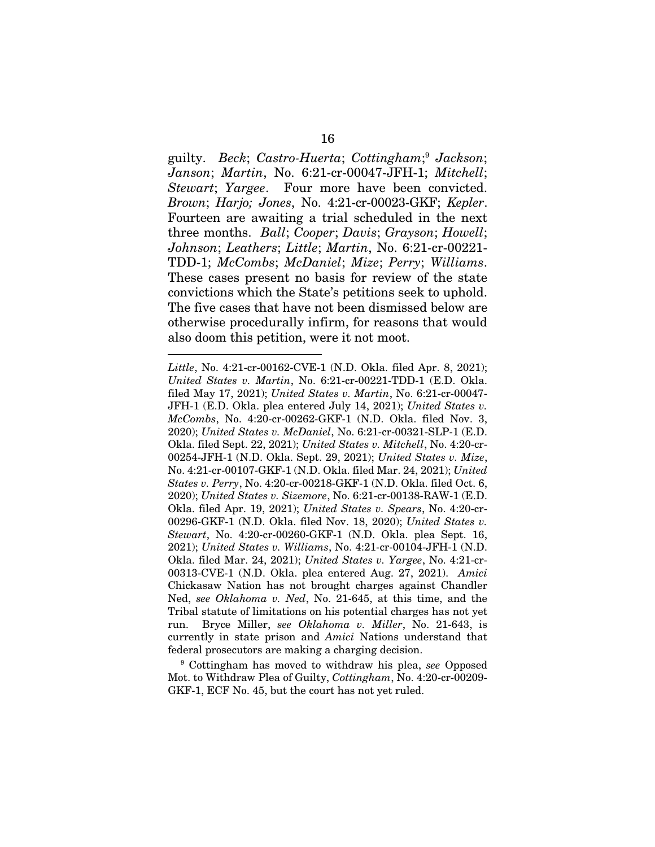guilty. *Beck*; *Castro-Huerta*; *Cottingham*; <sup>9</sup> *Jackson*; *Janson*; *Martin*, No. 6:21-cr-00047-JFH-1; *Mitchell*; *Stewart*; *Yargee*. Four more have been convicted. *Brown*; *Harjo; Jones*, No. 4:21-cr-00023-GKF; *Kepler*. Fourteen are awaiting a trial scheduled in the next three months. *Ball*; *Cooper*; *Davis*; *Grayson*; *Howell*; *Johnson*; *Leathers*; *Little*; *Martin*, No. 6:21-cr-00221- TDD-1; *McCombs*; *McDaniel*; *Mize*; *Perry*; *Williams*. These cases present no basis for review of the state convictions which the State's petitions seek to uphold. The five cases that have not been dismissed below are otherwise procedurally infirm, for reasons that would also doom this petition, were it not moot.

9 Cottingham has moved to withdraw his plea, *see* Opposed Mot. to Withdraw Plea of Guilty, *Cottingham*, No. 4:20-cr-00209- GKF-1, ECF No. 45, but the court has not yet ruled.

*Little*, No. 4:21-cr-00162-CVE-1 (N.D. Okla. filed Apr. 8, 2021); *United States v. Martin*, No. 6:21-cr-00221-TDD-1 (E.D. Okla. filed May 17, 2021); *United States v. Martin*, No. 6:21-cr-00047- JFH-1 (E.D. Okla. plea entered July 14, 2021); *United States v. McCombs*, No. 4:20-cr-00262-GKF-1 (N.D. Okla. filed Nov. 3, 2020); *United States v. McDaniel*, No. 6:21-cr-00321-SLP-1 (E.D. Okla. filed Sept. 22, 2021); *United States v. Mitchell*, No. 4:20-cr-00254-JFH-1 (N.D. Okla. Sept. 29, 2021); *United States v. Mize*, No. 4:21-cr-00107-GKF-1 (N.D. Okla. filed Mar. 24, 2021); *United States v. Perry*, No. 4:20-cr-00218-GKF-1 (N.D. Okla. filed Oct. 6, 2020); *United States v. Sizemore*, No. 6:21-cr-00138-RAW-1 (E.D. Okla. filed Apr. 19, 2021); *United States v. Spears*, No. 4:20-cr-00296-GKF-1 (N.D. Okla. filed Nov. 18, 2020); *United States v. Stewart*, No. 4:20-cr-00260-GKF-1 (N.D. Okla. plea Sept. 16, 2021); *United States v. Williams*, No. 4:21-cr-00104-JFH-1 (N.D. Okla. filed Mar. 24, 2021); *United States v. Yargee*, No. 4:21-cr-00313-CVE-1 (N.D. Okla. plea entered Aug. 27, 2021). *Amici*  Chickasaw Nation has not brought charges against Chandler Ned, *see Oklahoma v. Ned*, No. 21-645, at this time, and the Tribal statute of limitations on his potential charges has not yet run. Bryce Miller, *see Oklahoma v. Miller*, No. 21-643, is currently in state prison and *Amici* Nations understand that federal prosecutors are making a charging decision.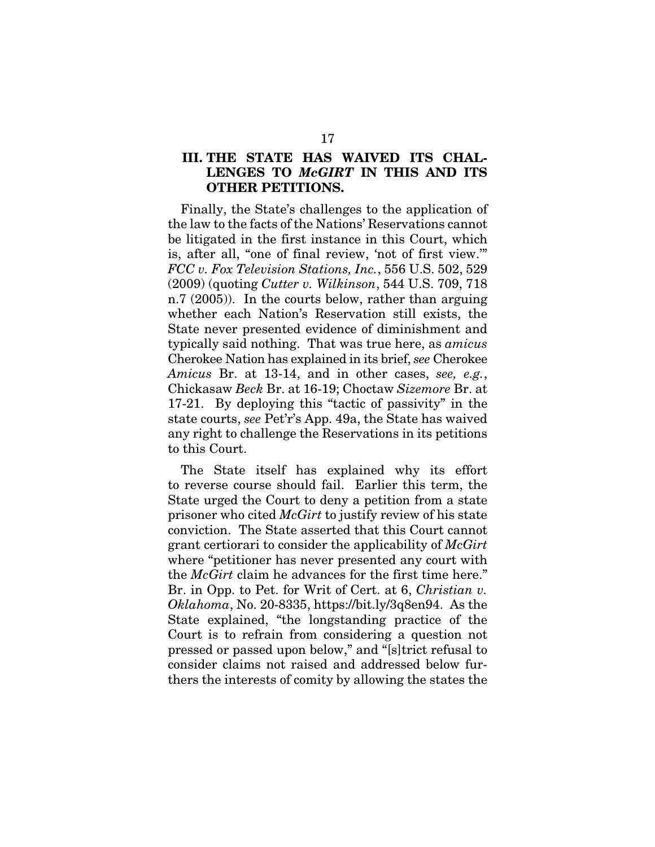#### III. THE STATE HAS WAIVED ITS CHAL-LENGES TO *McGIRT* IN THIS AND ITS OTHER PETITIONS.

Finally, the State's challenges to the application of the law to the facts of the Nations' Reservations cannot be litigated in the first instance in this Court, which is, after all, "one of final review, 'not of first view.'" *FCC v. Fox Television Stations, Inc.*, 556 U.S. 502, 529 (2009) (quoting *Cutter v. Wilkinson*, 544 U.S. 709, 718 n.7 (2005)). In the courts below, rather than arguing whether each Nation's Reservation still exists, the State never presented evidence of diminishment and typically said nothing. That was true here, as *amicus*  Cherokee Nation has explained in its brief, *see* Cherokee *Amicus* Br. at 13-14, and in other cases, *see, e.g.*, Chickasaw *Beck* Br. at 16-19; Choctaw *Sizemore* Br. at 17-21. By deploying this "tactic of passivity" in the state courts, *see* Pet'r's App. 49a, the State has waived any right to challenge the Reservations in its petitions to this Court.

The State itself has explained why its effort to reverse course should fail. Earlier this term, the State urged the Court to deny a petition from a state prisoner who cited *McGirt* to justify review of his state conviction. The State asserted that this Court cannot grant certiorari to consider the applicability of *McGirt* where "petitioner has never presented any court with the *McGirt* claim he advances for the first time here." Br. in Opp. to Pet. for Writ of Cert. at 6, *Christian v. Oklahoma*, No. 20-8335, https://bit.ly/3q8en94. As the State explained, "the longstanding practice of the Court is to refrain from considering a question not pressed or passed upon below," and "[s]trict refusal to consider claims not raised and addressed below furthers the interests of comity by allowing the states the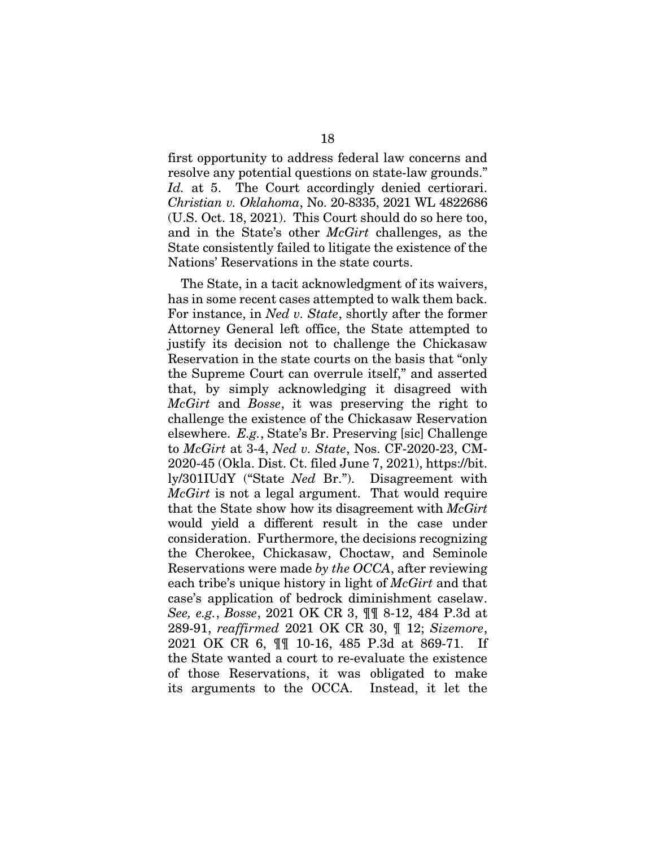first opportunity to address federal law concerns and resolve any potential questions on state-law grounds." Id. at 5. The Court accordingly denied certiorari. *Christian v. Oklahoma*, No. 20-8335, 2021 WL 4822686 (U.S. Oct. 18, 2021). This Court should do so here too, and in the State's other *McGirt* challenges, as the State consistently failed to litigate the existence of the Nations' Reservations in the state courts.

The State, in a tacit acknowledgment of its waivers, has in some recent cases attempted to walk them back. For instance, in *Ned v. State*, shortly after the former Attorney General left office, the State attempted to justify its decision not to challenge the Chickasaw Reservation in the state courts on the basis that "only the Supreme Court can overrule itself," and asserted that, by simply acknowledging it disagreed with *McGirt* and *Bosse*, it was preserving the right to challenge the existence of the Chickasaw Reservation elsewhere. *E.g.*, State's Br. Preserving [sic] Challenge to *McGirt* at 3-4, *Ned v. State*, Nos. CF-2020-23, CM-2020-45 (Okla. Dist. Ct. filed June 7, 2021), https://bit. ly/301IUdY ("State *Ned* Br."). Disagreement with *McGirt* is not a legal argument. That would require that the State show how its disagreement with *McGirt* would yield a different result in the case under consideration. Furthermore, the decisions recognizing the Cherokee, Chickasaw, Choctaw, and Seminole Reservations were made *by the OCCA*, after reviewing each tribe's unique history in light of *McGirt* and that case's application of bedrock diminishment caselaw. *See, e.g.*, *Bosse*, 2021 OK CR 3, ¶¶ 8-12, 484 P.3d at 289-91, *reaffirmed* 2021 OK CR 30, ¶ 12; *Sizemore*, 2021 OK CR 6, ¶¶ 10-16, 485 P.3d at 869-71. If the State wanted a court to re-evaluate the existence of those Reservations, it was obligated to make its arguments to the OCCA. Instead, it let the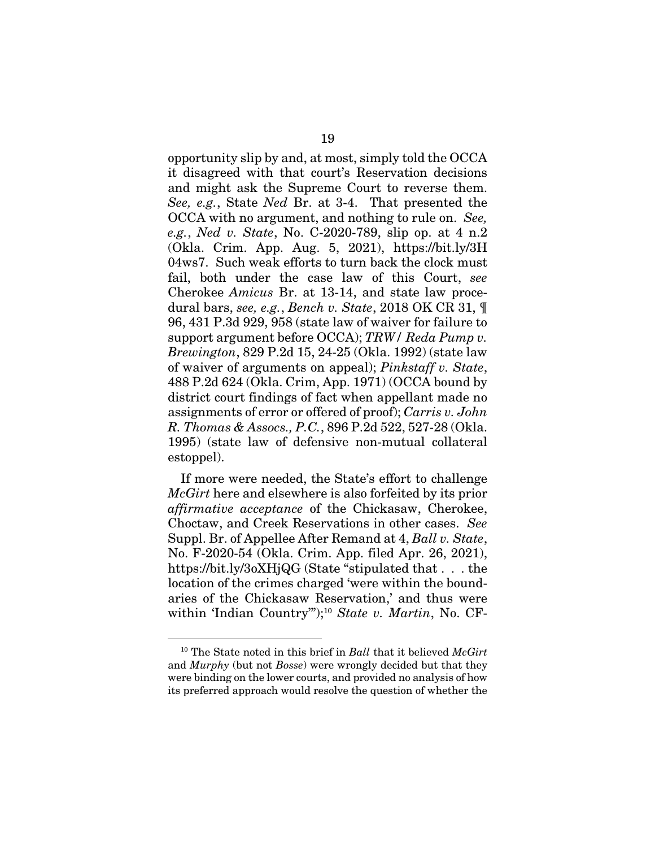opportunity slip by and, at most, simply told the OCCA it disagreed with that court's Reservation decisions and might ask the Supreme Court to reverse them. *See, e.g.*, State *Ned* Br. at 3-4. That presented the OCCA with no argument, and nothing to rule on. *See, e.g.*, *Ned v. State*, No. C-2020-789, slip op. at 4 n.2 (Okla. Crim. App. Aug. 5, 2021), https://bit.ly/3H 04ws7. Such weak efforts to turn back the clock must fail, both under the case law of this Court, *see*  Cherokee *Amicus* Br. at 13-14, and state law procedural bars, *see, e.g.*, *Bench v. State*, 2018 OK CR 31, ¶ 96, 431 P.3d 929, 958 (state law of waiver for failure to support argument before OCCA); *TRW/ Reda Pump v. Brewington*, 829 P.2d 15, 24-25 (Okla. 1992) (state law of waiver of arguments on appeal); *Pinkstaff v. State*, 488 P.2d 624 (Okla. Crim, App. 1971) (OCCA bound by district court findings of fact when appellant made no assignments of error or offered of proof); *Carris v. John R. Thomas & Assocs., P.C.*, 896 P.2d 522, 527-28 (Okla. 1995) (state law of defensive non-mutual collateral estoppel).

If more were needed, the State's effort to challenge *McGirt* here and elsewhere is also forfeited by its prior *affirmative acceptance* of the Chickasaw, Cherokee, Choctaw, and Creek Reservations in other cases. *See*  Suppl. Br. of Appellee After Remand at 4, *Ball v. State*, No. F-2020-54 (Okla. Crim. App. filed Apr. 26, 2021), https://bit.ly/3oXHjQG (State "stipulated that . . . the location of the crimes charged 'were within the boundaries of the Chickasaw Reservation,' and thus were within 'Indian Country'");10 *State v. Martin*, No. CF-

<sup>10</sup> The State noted in this brief in *Ball* that it believed *McGirt* and *Murphy* (but not *Bosse*) were wrongly decided but that they were binding on the lower courts, and provided no analysis of how its preferred approach would resolve the question of whether the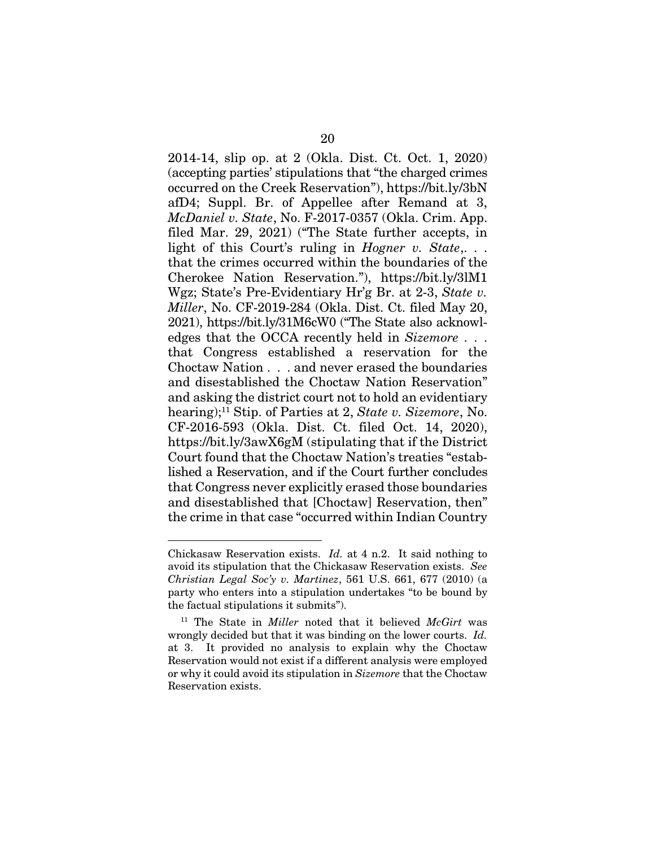2014-14, slip op. at 2 (Okla. Dist. Ct. Oct. 1, 2020) (accepting parties' stipulations that "the charged crimes occurred on the Creek Reservation"), https://bit.ly/3bN afD4; Suppl. Br. of Appellee after Remand at 3, *McDaniel v. State*, No. F-2017-0357 (Okla. Crim. App. filed Mar. 29, 2021) ("The State further accepts, in light of this Court's ruling in *Hogner v. State*,... that the crimes occurred within the boundaries of the Cherokee Nation Reservation."), https://bit.ly/3lM1 Wgz; State's Pre-Evidentiary Hr'g Br. at 2-3, *State v. Miller*, No. CF-2019-284 (Okla. Dist. Ct. filed May 20, 2021), https://bit.ly/31M6cW0 ("The State also acknowledges that the OCCA recently held in *Sizemore* . . . that Congress established a reservation for the Choctaw Nation . . . and never erased the boundaries and disestablished the Choctaw Nation Reservation" and asking the district court not to hold an evidentiary hearing);11 Stip. of Parties at 2, *State v. Sizemore*, No. CF-2016-593 (Okla. Dist. Ct. filed Oct. 14, 2020), https://bit.ly/3awX6gM (stipulating that if the District Court found that the Choctaw Nation's treaties "established a Reservation, and if the Court further concludes that Congress never explicitly erased those boundaries and disestablished that [Choctaw] Reservation, then" the crime in that case "occurred within Indian Country

Chickasaw Reservation exists. *Id.* at 4 n.2. It said nothing to avoid its stipulation that the Chickasaw Reservation exists. *See Christian Legal Soc'y v. Martinez*, 561 U.S. 661, 677 (2010) (a party who enters into a stipulation undertakes "to be bound by the factual stipulations it submits").

<sup>11</sup> The State in *Miller* noted that it believed *McGirt* was wrongly decided but that it was binding on the lower courts. *Id.* at 3. It provided no analysis to explain why the Choctaw Reservation would not exist if a different analysis were employed or why it could avoid its stipulation in *Sizemore* that the Choctaw Reservation exists.